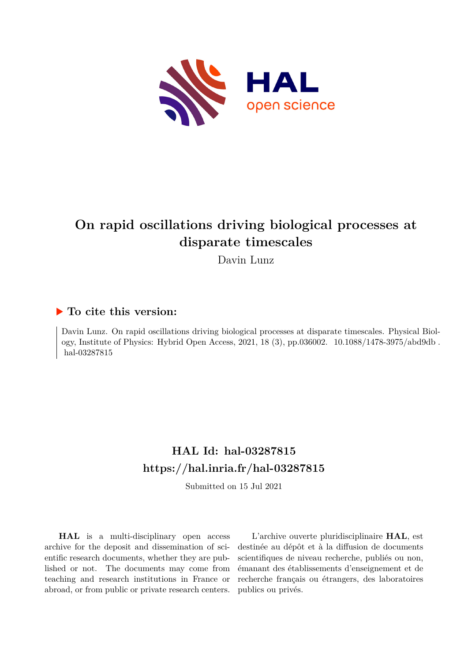

# **On rapid oscillations driving biological processes at disparate timescales**

Davin Lunz

# **To cite this version:**

Davin Lunz. On rapid oscillations driving biological processes at disparate timescales. Physical Biology, Institute of Physics: Hybrid Open Access, 2021, 18  $(3)$ , pp.036002. 10.1088/1478-3975/abd9db. hal-03287815

# **HAL Id: hal-03287815 <https://hal.inria.fr/hal-03287815>**

Submitted on 15 Jul 2021

**HAL** is a multi-disciplinary open access archive for the deposit and dissemination of scientific research documents, whether they are published or not. The documents may come from teaching and research institutions in France or abroad, or from public or private research centers.

L'archive ouverte pluridisciplinaire **HAL**, est destinée au dépôt et à la diffusion de documents scientifiques de niveau recherche, publiés ou non, émanant des établissements d'enseignement et de recherche français ou étrangers, des laboratoires publics ou privés.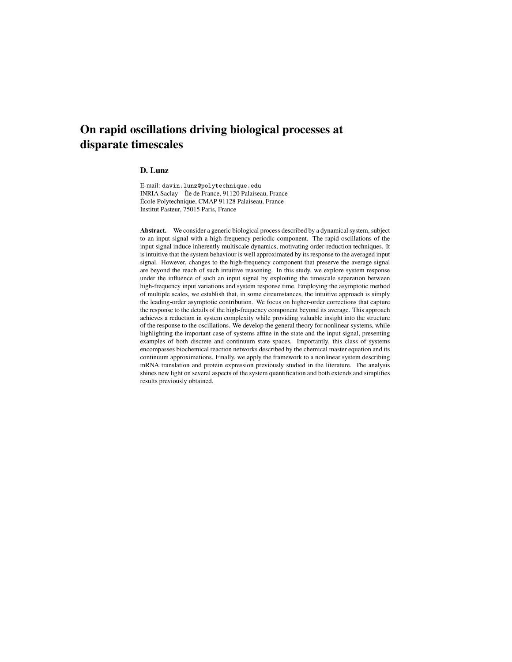# On rapid oscillations driving biological processes at disparate timescales

## D. Lunz

E-mail: davin.lunz@polytechnique.edu INRIA Saclay – Île de France, 91120 Palaiseau, France École Polytechnique, CMAP 91128 Palaiseau, France Institut Pasteur, 75015 Paris, France

Abstract. We consider a generic biological process described by a dynamical system, subject to an input signal with a high-frequency periodic component. The rapid oscillations of the input signal induce inherently multiscale dynamics, motivating order-reduction techniques. It is intuitive that the system behaviour is well approximated by its response to the averaged input signal. However, changes to the high-frequency component that preserve the average signal are beyond the reach of such intuitive reasoning. In this study, we explore system response under the influence of such an input signal by exploiting the timescale separation between high-frequency input variations and system response time. Employing the asymptotic method of multiple scales, we establish that, in some circumstances, the intuitive approach is simply the leading-order asymptotic contribution. We focus on higher-order corrections that capture the response to the details of the high-frequency component beyond its average. This approach achieves a reduction in system complexity while providing valuable insight into the structure of the response to the oscillations. We develop the general theory for nonlinear systems, while highlighting the important case of systems affine in the state and the input signal, presenting examples of both discrete and continuum state spaces. Importantly, this class of systems encompasses biochemical reaction networks described by the chemical master equation and its continuum approximations. Finally, we apply the framework to a nonlinear system describing mRNA translation and protein expression previously studied in the literature. The analysis shines new light on several aspects of the system quantification and both extends and simplifies results previously obtained.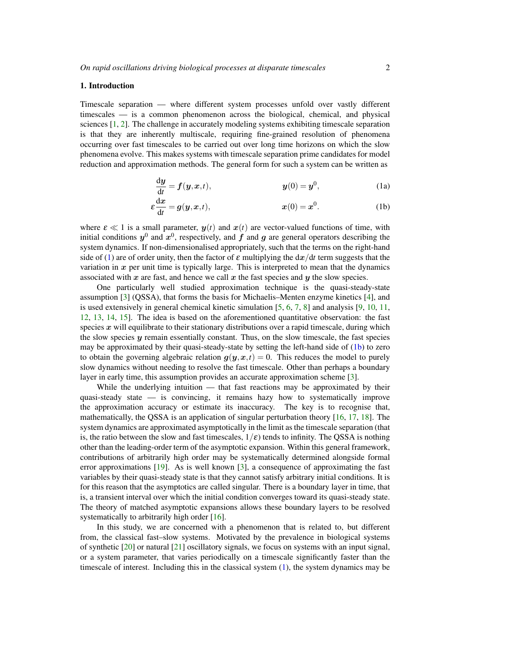#### 1. Introduction

Timescale separation — where different system processes unfold over vastly different timescales — is a common phenomenon across the biological, chemical, and physical sciences [1, 2]. The challenge in accurately modeling systems exhibiting timescale separation is that they are inherently multiscale, requiring fine-grained resolution of phenomena occurring over fast timescales to be carried out over long time horizons on which the slow phenomena evolve. This makes systems with timescale separation prime candidates for model reduction and approximation methods. The general form for such a system can be written as

$$
\frac{dy}{dt} = f(y, x, t), \qquad y(0) = y^0,
$$
 (1a)

$$
\varepsilon \frac{\mathrm{d}x}{\mathrm{d}t} = g(y, x, t), \qquad x(0) = x^0. \tag{1b}
$$

where  $\varepsilon \ll 1$  is a small parameter,  $y(t)$  and  $x(t)$  are vector-valued functions of time, with initial conditions  $y^0$  and  $x^0$ , respectively, and  $f$  and  $g$  are general operators describing the system dynamics. If non-dimensionalised appropriately, such that the terms on the right-hand side of (1) are of order unity, then the factor of  $\varepsilon$  multiplying the  $dx/dt$  term suggests that the variation in  $x$  per unit time is typically large. This is interpreted to mean that the dynamics associated with x are fast, and hence we call x the fast species and y the slow species.

One particularly well studied approximation technique is the quasi-steady-state assumption [3] (QSSA), that forms the basis for Michaelis–Menten enzyme kinetics [4], and is used extensively in general chemical kinetic simulation [5, 6, 7, 8] and analysis [9, 10, 11, 12, 13, 14, 15]. The idea is based on the aforementioned quantitative observation: the fast species  $x$  will equilibrate to their stationary distributions over a rapid timescale, during which the slow species  $\boldsymbol{\eta}$  remain essentially constant. Thus, on the slow timescale, the fast species may be approximated by their quasi-steady-state by setting the left-hand side of (1b) to zero to obtain the governing algebraic relation  $g(y, x,t) = 0$ . This reduces the model to purely slow dynamics without needing to resolve the fast timescale. Other than perhaps a boundary layer in early time, this assumption provides an accurate approximation scheme [3].

While the underlying intuition — that fast reactions may be approximated by their quasi-steady state — is convincing, it remains hazy how to systematically improve the approximation accuracy or estimate its inaccuracy. The key is to recognise that, mathematically, the QSSA is an application of singular perturbation theory [16, 17, 18]. The system dynamics are approximated asymptotically in the limit as the timescale separation (that is, the ratio between the slow and fast timescales,  $1/\varepsilon$ ) tends to infinity. The QSSA is nothing other than the leading-order term of the asymptotic expansion. Within this general framework, contributions of arbitrarily high order may be systematically determined alongside formal error approximations [19]. As is well known [3], a consequence of approximating the fast variables by their quasi-steady state is that they cannot satisfy arbitrary initial conditions. It is for this reason that the asymptotics are called singular. There is a boundary layer in time, that is, a transient interval over which the initial condition converges toward its quasi-steady state. The theory of matched asymptotic expansions allows these boundary layers to be resolved systematically to arbitrarily high order [16].

In this study, we are concerned with a phenomenon that is related to, but different from, the classical fast–slow systems. Motivated by the prevalence in biological systems of synthetic [20] or natural [21] oscillatory signals, we focus on systems with an input signal, or a system parameter, that varies periodically on a timescale significantly faster than the timescale of interest. Including this in the classical system  $(1)$ , the system dynamics may be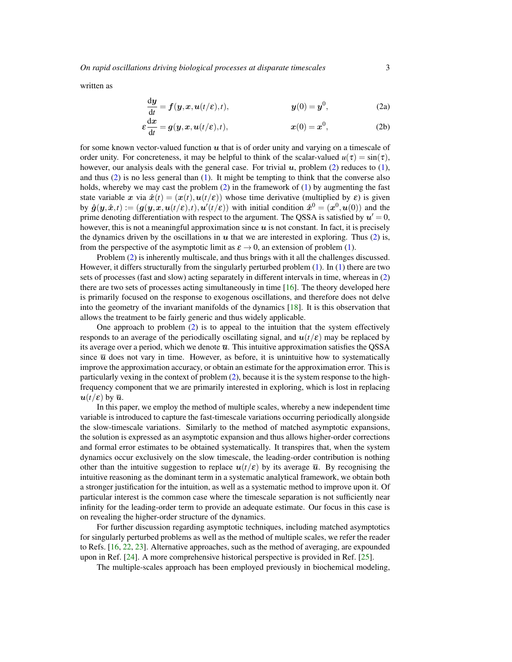*On rapid oscillations driving biological processes at disparate timescales* 3

written as

$$
\frac{dy}{dt} = f(y, x, u(t/\varepsilon), t), \qquad y(0) = y^0,
$$
\n(2a)

$$
\varepsilon \frac{\mathrm{d}x}{\mathrm{d}t} = g(y, x, u(t/\varepsilon), t), \qquad x(0) = x^0, \qquad (2b)
$$

for some known vector-valued function  $u$  that is of order unity and varying on a timescale of order unity. For concreteness, it may be helpful to think of the scalar-valued  $u(\tau) = \sin(\tau)$ , however, our analysis deals with the general case. For trivial  $u$ , problem (2) reduces to (1), and thus (2) is no less general than (1). It might be tempting to think that the converse also holds, whereby we may cast the problem  $(2)$  in the framework of  $(1)$  by augmenting the fast state variable x via  $\hat{x}(t) = (x(t), u(t/\varepsilon))$  whose time derivative (multiplied by  $\varepsilon$ ) is given by  $\hat{g}(y, \hat{x}, t) := (g(y, x, u(t/\varepsilon), t), u'(t/\varepsilon))$  with initial condition  $\hat{x}^0 = (x^0, u(0))$  and the prime denoting differentiation with respect to the argument. The QSSA is satisfied by  $u'=0$ , however, this is not a meaningful approximation since  $u$  is not constant. In fact, it is precisely the dynamics driven by the oscillations in  $u$  that we are interested in exploring. Thus (2) is, from the perspective of the asymptotic limit as  $\varepsilon \to 0$ , an extension of problem (1).

Problem (2) is inherently multiscale, and thus brings with it all the challenges discussed. However, it differs structurally from the singularly perturbed problem  $(1)$ . In  $(1)$  there are two sets of processes (fast and slow) acting separately in different intervals in time, whereas in (2) there are two sets of processes acting simultaneously in time  $[16]$ . The theory developed here is primarily focused on the response to exogenous oscillations, and therefore does not delve into the geometry of the invariant manifolds of the dynamics [18]. It is this observation that allows the treatment to be fairly generic and thus widely applicable.

One approach to problem (2) is to appeal to the intuition that the system effectively responds to an average of the periodically oscillating signal, and  $u(t/\varepsilon)$  may be replaced by its average over a period, which we denote  $\bar{u}$ . This intuitive approximation satisfies the QSSA since  $\bar{u}$  does not vary in time. However, as before, it is unintuitive how to systematically improve the approximation accuracy, or obtain an estimate for the approximation error. This is particularly vexing in the context of problem (2), because it is the system response to the highfrequency component that we are primarily interested in exploring, which is lost in replacing  $u(t/\varepsilon)$  by  $\bar{u}$ .

In this paper, we employ the method of multiple scales, whereby a new independent time variable is introduced to capture the fast-timescale variations occurring periodically alongside the slow-timescale variations. Similarly to the method of matched asymptotic expansions, the solution is expressed as an asymptotic expansion and thus allows higher-order corrections and formal error estimates to be obtained systematically. It transpires that, when the system dynamics occur exclusively on the slow timescale, the leading-order contribution is nothing other than the intuitive suggestion to replace  $u(t/\varepsilon)$  by its average  $\bar{u}$ . By recognising the intuitive reasoning as the dominant term in a systematic analytical framework, we obtain both a stronger justification for the intuition, as well as a systematic method to improve upon it. Of particular interest is the common case where the timescale separation is not sufficiently near infinity for the leading-order term to provide an adequate estimate. Our focus in this case is on revealing the higher-order structure of the dynamics.

For further discussion regarding asymptotic techniques, including matched asymptotics for singularly perturbed problems as well as the method of multiple scales, we refer the reader to Refs. [16, 22, 23]. Alternative approaches, such as the method of averaging, are expounded upon in Ref.  $[24]$ . A more comprehensive historical perspective is provided in Ref.  $[25]$ .

The multiple-scales approach has been employed previously in biochemical modeling,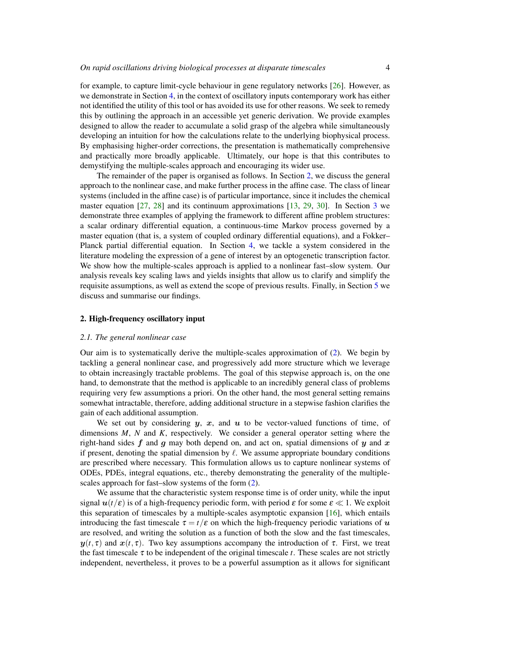for example, to capture limit-cycle behaviour in gene regulatory networks [26]. However, as we demonstrate in Section 4, in the context of oscillatory inputs contemporary work has either not identified the utility of this tool or has avoided its use for other reasons. We seek to remedy this by outlining the approach in an accessible yet generic derivation. We provide examples designed to allow the reader to accumulate a solid grasp of the algebra while simultaneously developing an intuition for how the calculations relate to the underlying biophysical process. By emphasising higher-order corrections, the presentation is mathematically comprehensive and practically more broadly applicable. Ultimately, our hope is that this contributes to demystifying the multiple-scales approach and encouraging its wider use.

The remainder of the paper is organised as follows. In Section 2, we discuss the general approach to the nonlinear case, and make further process in the affine case. The class of linear systems (included in the affine case) is of particular importance, since it includes the chemical master equation [27, 28] and its continuum approximations [13, 29, 30]. In Section 3 we demonstrate three examples of applying the framework to different affine problem structures: a scalar ordinary differential equation, a continuous-time Markov process governed by a master equation (that is, a system of coupled ordinary differential equations), and a Fokker– Planck partial differential equation. In Section 4, we tackle a system considered in the literature modeling the expression of a gene of interest by an optogenetic transcription factor. We show how the multiple-scales approach is applied to a nonlinear fast–slow system. Our analysis reveals key scaling laws and yields insights that allow us to clarify and simplify the requisite assumptions, as well as extend the scope of previous results. Finally, in Section 5 we discuss and summarise our findings.

#### 2. High-frequency oscillatory input

#### *2.1. The general nonlinear case*

Our aim is to systematically derive the multiple-scales approximation of (2). We begin by tackling a general nonlinear case, and progressively add more structure which we leverage to obtain increasingly tractable problems. The goal of this stepwise approach is, on the one hand, to demonstrate that the method is applicable to an incredibly general class of problems requiring very few assumptions a priori. On the other hand, the most general setting remains somewhat intractable, therefore, adding additional structure in a stepwise fashion clarifies the gain of each additional assumption.

We set out by considering  $y, x$ , and  $u$  to be vector-valued functions of time, of dimensions *M*, *N* and *K*, respectively. We consider a general operator setting where the right-hand sides f and q may both depend on, and act on, spatial dimensions of  $y$  and  $x$ if present, denoting the spatial dimension by  $\ell$ . We assume appropriate boundary conditions are prescribed where necessary. This formulation allows us to capture nonlinear systems of ODEs, PDEs, integral equations, etc., thereby demonstrating the generality of the multiplescales approach for fast–slow systems of the form (2).

We assume that the characteristic system response time is of order unity, while the input signal  $u(t/\varepsilon)$  is of a high-frequency periodic form, with period  $\varepsilon$  for some  $\varepsilon \ll 1$ . We exploit this separation of timescales by a multiple-scales asymptotic expansion [16], which entails introducing the fast timescale  $\tau = t/\varepsilon$  on which the high-frequency periodic variations of u are resolved, and writing the solution as a function of both the slow and the fast timescales,  $y(t, \tau)$  and  $x(t, \tau)$ . Two key assumptions accompany the introduction of  $\tau$ . First, we treat the fast timescale  $\tau$  to be independent of the original timescale *t*. These scales are not strictly independent, nevertheless, it proves to be a powerful assumption as it allows for significant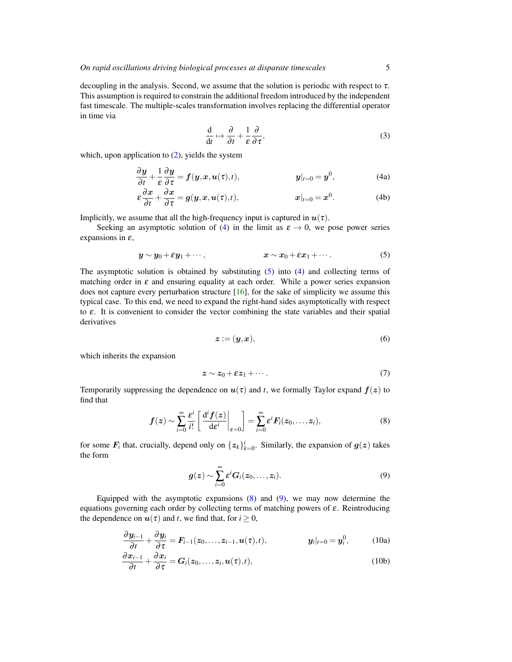decoupling in the analysis. Second, we assume that the solution is periodic with respect to  $\tau$ . This assumption is required to constrain the additional freedom introduced by the independent fast timescale. The multiple-scales transformation involves replacing the differential operator in time via

$$
\frac{\mathrm{d}}{\mathrm{d}t} \mapsto \frac{\partial}{\partial t} + \frac{1}{\varepsilon} \frac{\partial}{\partial \tau},\tag{3}
$$

which, upon application to (2), yields the system

$$
\frac{\partial y}{\partial t} + \frac{1}{\varepsilon} \frac{\partial y}{\partial \tau} = f(y, x, u(\tau), t), \qquad y|_{t=0} = y^0,
$$
 (4a)

$$
\varepsilon \frac{\partial x}{\partial t} + \frac{\partial x}{\partial \tau} = g(y, x, u(\tau), t), \qquad x|_{t=0} = x^0. \tag{4b}
$$

Implicitly, we assume that all the high-frequency input is captured in  $u(\tau)$ .

Seeking an asymptotic solution of (4) in the limit as  $\varepsilon \to 0$ , we pose power series expansions in  $\varepsilon$ ,

$$
\mathbf{y} \sim \mathbf{y}_0 + \varepsilon \mathbf{y}_1 + \cdots, \qquad \qquad \mathbf{x} \sim \mathbf{x}_0 + \varepsilon \mathbf{x}_1 + \cdots. \qquad (5)
$$

The asymptotic solution is obtained by substituting  $(5)$  into  $(4)$  and collecting terms of matching order in  $\varepsilon$  and ensuring equality at each order. While a power series expansion does not capture every perturbation structure [16], for the sake of simplicity we assume this typical case. To this end, we need to expand the right-hand sides asymptotically with respect to  $\varepsilon$ . It is convenient to consider the vector combining the state variables and their spatial derivatives

$$
z := (\mathbf{y}, \mathbf{x}),\tag{6}
$$

which inherits the expansion

$$
z \sim z_0 + \varepsilon z_1 + \cdots \tag{7}
$$

Temporarily suppressing the dependence on  $u(\tau)$  and *t*, we formally Taylor expand  $f(z)$  to find that

$$
f(z) \sim \sum_{i=0}^{\infty} \frac{\varepsilon^i}{i!} \left[ \left. \frac{\mathrm{d}^i f(z)}{\mathrm{d}\varepsilon^i} \right|_{\varepsilon=0} \right] = \sum_{i=0}^{\infty} \varepsilon^i F_i(z_0, \dots, z_i), \tag{8}
$$

for some  $F_i$  that, crucially, depend only on  $\{z_k\}_{k=0}^i$ . Similarly, the expansion of  $g(z)$  takes the form

$$
g(z) \sim \sum_{i=0}^{\infty} \varepsilon^{i} G_{i}(z_0,\ldots,z_i). \tag{9}
$$

Equipped with the asymptotic expansions  $(8)$  and  $(9)$ , we may now determine the equations governing each order by collecting terms of matching powers of  $\varepsilon$ . Reintroducing the dependence on  $u(\tau)$  and *t*, we find that, for  $i \geq 0$ ,

$$
\frac{\partial \boldsymbol{y}_{i-1}}{\partial t} + \frac{\partial \boldsymbol{y}_{i}}{\partial \tau} = \boldsymbol{F}_{i-1}(\boldsymbol{z}_{0},\ldots,\boldsymbol{z}_{i-1},\boldsymbol{u}(\tau),t), \qquad \qquad \boldsymbol{y}_{i}|_{t=0} = \boldsymbol{y}_{i}^{0}, \qquad (10a)
$$

$$
\frac{\partial x_{i-1}}{\partial t} + \frac{\partial x_i}{\partial \tau} = G_i(z_0, \dots, z_i, \mathbf{u}(\tau), t),
$$
\n(10b)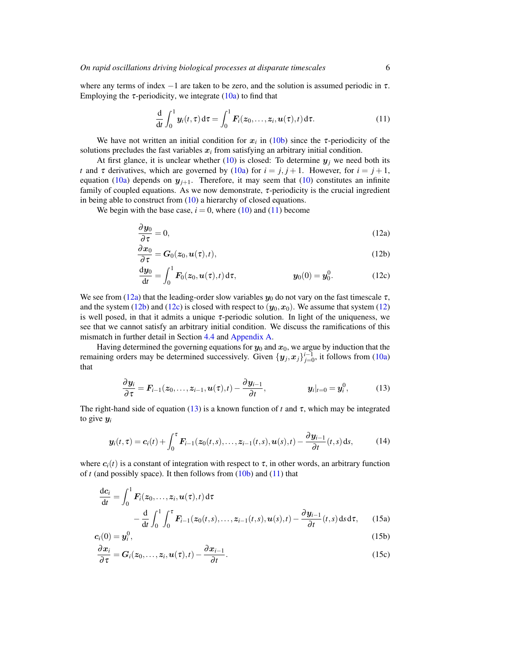where any terms of index  $-1$  are taken to be zero, and the solution is assumed periodic in  $\tau$ . Employing the  $\tau$ -periodicity, we integrate (10a) to find that

$$
\frac{\mathrm{d}}{\mathrm{d}t}\int_0^1 \boldsymbol{y}_i(t,\tau)\,\mathrm{d}\tau = \int_0^1 \boldsymbol{F}_i(z_0,\ldots,z_i,\boldsymbol{u}(\tau),t)\,\mathrm{d}\tau.
$$
 (11)

We have not written an initial condition for  $x_i$  in (10b) since the  $\tau$ -periodicity of the solutions precludes the fast variables  $x_i$  from satisfying an arbitrary initial condition.

At first glance, it is unclear whether  $(10)$  is closed: To determine  $y_j$  we need both its *t* and  $\tau$  derivatives, which are governed by (10a) for  $i = j, j + 1$ . However, for  $i = j + 1$ , equation (10a) depends on  $y_{j+1}$ . Therefore, it may seem that (10) constitutes an infinite family of coupled equations. As we now demonstrate, τ-periodicity is the crucial ingredient in being able to construct from (10) a hierarchy of closed equations.

We begin with the base case,  $i = 0$ , where (10) and (11) become

$$
\frac{\partial y_0}{\partial \tau} = 0,\tag{12a}
$$

$$
\frac{\partial x_0}{\partial \tau} = G_0(z_0, u(\tau), t), \qquad (12b)
$$

$$
\frac{dy_0}{dt} = \int_0^1 F_0(z_0, u(\tau), t) d\tau, \qquad y_0(0) = y_0^0.
$$
 (12c)

We see from (12a) that the leading-order slow variables  $y_0$  do not vary on the fast timescale  $\tau$ , and the system (12b) and (12c) is closed with respect to  $(y_0, x_0)$ . We assume that system (12) is well posed, in that it admits a unique  $\tau$ -periodic solution. In light of the uniqueness, we see that we cannot satisfy an arbitrary initial condition. We discuss the ramifications of this mismatch in further detail in Section 4.4 and Appendix A.

Having determined the governing equations for  $y_0$  and  $x_0$ , we argue by induction that the remaining orders may be determined successively. Given  $\{y_j, x_j\}_{j=0}^{i-1}$ , it follows from (10a) that

$$
\frac{\partial y_i}{\partial \tau} = \boldsymbol{F}_{i-1}(z_0, \dots, z_{i-1}, \boldsymbol{u}(\tau), t) - \frac{\partial y_{i-1}}{\partial t}, \qquad \qquad y_i|_{t=0} = \boldsymbol{y}_i^0, \qquad (13)
$$

The right-hand side of equation (13) is a known function of *t* and  $\tau$ , which may be integrated to give y*<sup>i</sup>*

$$
\boldsymbol{y}_i(t,\tau) = \boldsymbol{c}_i(t) + \int_0^{\tau} \boldsymbol{F}_{i-1}(\boldsymbol{z}_0(t,s),\ldots,\boldsymbol{z}_{i-1}(t,s),\boldsymbol{u}(s),t) - \frac{\partial \boldsymbol{y}_{i-1}}{\partial t}(t,s) \, \mathrm{d}s,\tag{14}
$$

where  $c_i(t)$  is a constant of integration with respect to  $\tau$ , in other words, an arbitrary function of *t* (and possibly space). It then follows from (10b) and (11) that

$$
\frac{d\mathbf{c}_i}{dt} = \int_0^1 \mathbf{F}_i(z_0, \dots, z_i, \mathbf{u}(\tau), t) d\tau
$$

$$
- \frac{d}{dt} \int_0^1 \int_0^{\tau} \mathbf{F}_{i-1}(z_0(t, s), \dots, z_{i-1}(t, s), \mathbf{u}(s), t) - \frac{\partial \mathbf{y}_{i-1}}{\partial t}(t, s) ds d\tau, \qquad (15a)
$$

$$
c_i(0) = y_i^0, \tag{15b}
$$

$$
\frac{\partial x_i}{\partial \tau} = G_i(z_0, \dots, z_i, \mathbf{u}(\tau), t) - \frac{\partial x_{i-1}}{\partial t}.
$$
\n(15c)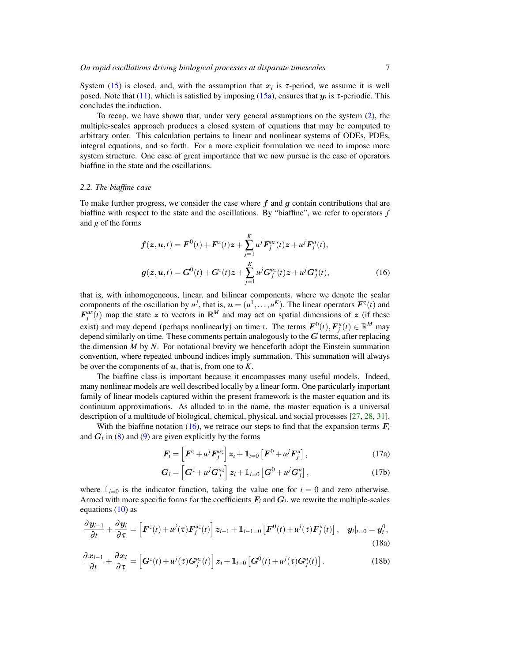System (15) is closed, and, with the assumption that  $x_i$  is  $\tau$ -period, we assume it is well posed. Note that  $(11)$ , which is satisfied by imposing  $(15a)$ , ensures that  $y_i$  is  $\tau$ -periodic. This concludes the induction.

To recap, we have shown that, under very general assumptions on the system (2), the multiple-scales approach produces a closed system of equations that may be computed to arbitrary order. This calculation pertains to linear and nonlinear systems of ODEs, PDEs, integral equations, and so forth. For a more explicit formulation we need to impose more system structure. One case of great importance that we now pursue is the case of operators biaffine in the state and the oscillations.

## *2.2. The biaffine case*

To make further progress, we consider the case where  $f$  and  $g$  contain contributions that are biaffine with respect to the state and the oscillations. By "biaffine", we refer to operators *f* and *g* of the forms

$$
f(z, u, t) = F^{0}(t) + F^{z}(t)z + \sum_{j=1}^{K} u^{j} F_{j}^{uz}(t)z + u^{j} F_{j}^{u}(t),
$$
  

$$
g(z, u, t) = G^{0}(t) + G^{z}(t)z + \sum_{j=1}^{K} u^{j} G_{j}^{uz}(t)z + u^{j} G_{j}^{u}(t),
$$
 (16)

that is, with inhomogeneous, linear, and bilinear components, where we denote the scalar components of the oscillation by  $u^j$ , that is,  $u = (u^1, \ldots, u^K)$ . The linear operators  $F^z(t)$  and  $F_j^{\mu z}(t)$  map the state z to vectors in  $\mathbb{R}^M$  and may act on spatial dimensions of z (if these exist) and may depend (perhaps nonlinearly) on time *t*. The terms  $\mathbf{F}^0(t)$ ,  $\mathbf{F}^u_j(t) \in \mathbb{R}^M$  may depend similarly on time. These comments pertain analogously to the  $G$  terms, after replacing the dimension *M* by *N*. For notational brevity we henceforth adopt the Einstein summation convention, where repeated unbound indices imply summation. This summation will always be over the components of  $u$ , that is, from one to  $K$ .

The biaffine class is important because it encompasses many useful models. Indeed, many nonlinear models are well described locally by a linear form. One particularly important family of linear models captured within the present framework is the master equation and its continuum approximations. As alluded to in the name, the master equation is a universal description of a multitude of biological, chemical, physical, and social processes [27, 28, 31].

With the biaffine notation (16), we retrace our steps to find that the expansion terms  $F_i$ and  $G_i$  in (8) and (9) are given explicitly by the forms

$$
\boldsymbol{F}_i = \left[ \boldsymbol{F}^z + u^j \boldsymbol{F}_j^{uz} \right] \boldsymbol{z}_i + \mathbb{1}_{i=0} \left[ \boldsymbol{F}^0 + u^j \boldsymbol{F}_j^{u} \right], \tag{17a}
$$

$$
\boldsymbol{G}_{i} = \left[ \boldsymbol{G}^{z} + u^{j} \boldsymbol{G}_{j}^{uz} \right] \boldsymbol{z}_{i} + \mathbb{1}_{i=0} \left[ \boldsymbol{G}^{0} + u^{j} \boldsymbol{G}_{j}^{u} \right], \qquad (17b)
$$

where  $1_{i=0}$  is the indicator function, taking the value one for  $i=0$  and zero otherwise. Armed with more specific forms for the coefficients  $F_i$  and  $G_i$ , we rewrite the multiple-scales equations  $(10)$  as

$$
\frac{\partial \boldsymbol{y}_{i-1}}{\partial t} + \frac{\partial \boldsymbol{y}_i}{\partial \tau} = \left[ \boldsymbol{F}^z(t) + u^j(\tau) \boldsymbol{F}_j^{uz}(t) \right] \boldsymbol{z}_{i-1} + \mathbb{1}_{i-1=0} \left[ \boldsymbol{F}^0(t) + u^j(\tau) \boldsymbol{F}_j^{u}(t) \right], \quad \boldsymbol{y}_i|_{t=0} = \boldsymbol{y}_i^0,
$$
\n(18a)

$$
\frac{\partial x_{i-1}}{\partial t} + \frac{\partial x_i}{\partial \tau} = \left[ G^z(t) + u^j(\tau) G_j^{uz}(t) \right] z_i + \mathbb{1}_{i=0} \left[ G^0(t) + u^j(\tau) G_j^{uz}(t) \right]. \tag{18b}
$$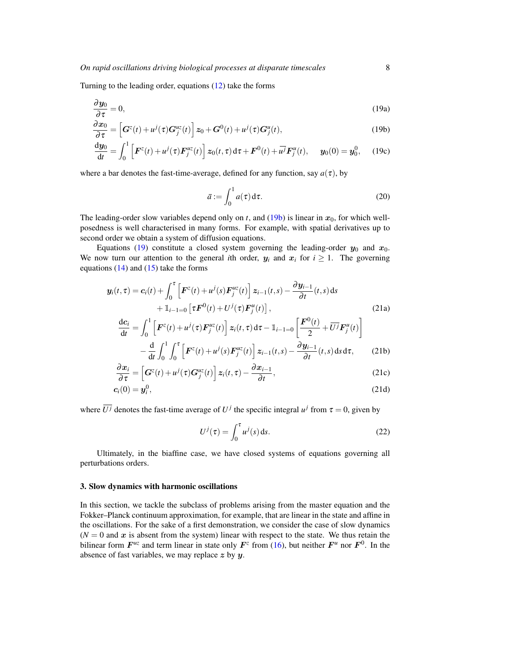Turning to the leading order, equations (12) take the forms

$$
\frac{\partial y_0}{\partial \tau} = 0,\tag{19a}
$$

$$
\frac{\partial x_0}{\partial \tau} = \left[ \boldsymbol{G}^z(t) + u^j(\tau) \boldsymbol{G}^{uz}_{j}(t) \right] z_0 + \boldsymbol{G}^0(t) + u^j(\tau) \boldsymbol{G}^u_j(t),\tag{19b}
$$

$$
\frac{dy_0}{dt} = \int_0^1 \left[ F^z(t) + u^j(\tau) F_j^{uz}(t) \right] z_0(t, \tau) d\tau + F^0(t) + u^j F_j^u(t), \quad y_0(0) = y_0^0, \quad (19c)
$$

where a bar denotes the fast-time-average, defined for any function, say  $a(\tau)$ , by

$$
\bar{a} := \int_0^1 a(\tau) d\tau.
$$
 (20)

The leading-order slow variables depend only on *t*, and (19b) is linear in  $x_0$ , for which wellposedness is well characterised in many forms. For example, with spatial derivatives up to second order we obtain a system of diffusion equations.

Equations (19) constitute a closed system governing the leading-order  $y_0$  and  $x_0$ . We now turn our attention to the general *i*th order,  $y_i$  and  $x_i$  for  $i \ge 1$ . The governing equations  $(14)$  and  $(15)$  take the forms

$$
\mathbf{y}_i(t,\tau) = \mathbf{c}_i(t) + \int_0^{\tau} \left[ \mathbf{F}^z(t) + u^j(s) \mathbf{F}_j^{uz}(t) \right] z_{i-1}(t,s) - \frac{\partial \mathbf{y}_{i-1}}{\partial t}(t,s) ds + \mathbb{1}_{i-1=0} \left[ \tau \mathbf{F}^0(t) + U^j(\tau) \mathbf{F}_j^{u}(t) \right],
$$
\n(21a)

$$
\frac{dc_i}{dt} = \int_0^1 \left[ \boldsymbol{F}^z(t) + u^j(\tau) \boldsymbol{F}_j^{uz}(t) \right] z_i(t, \tau) d\tau - \mathbb{1}_{i-1=0} \left[ \frac{\boldsymbol{F}^0(t)}{2} + \overline{U^j} \boldsymbol{F}_j^{u}(t) \right]
$$

$$
- \frac{d}{dt} \int_0^1 \int_0^{\tau} \left[ \boldsymbol{F}^z(t) + u^j(s) \boldsymbol{F}_j^{uz}(t) \right] z_{i-1}(t,s) - \frac{\partial y_{i-1}}{\partial t}(t,s) d\tau \right] \tag{21b}
$$

$$
-\frac{d}{dt} \int_0^1 \int_0^1 \left[ \boldsymbol{F}^z(t) + u^j(s) \boldsymbol{F}^{uz}_{j}(t) \right] z_{i-1}(t,s) - \frac{\partial \boldsymbol{y}_{i-1}}{\partial t}(t,s) ds d\tau, \tag{21b}
$$

$$
\frac{\partial x_i}{\partial \tau} = \left[ \mathbf{G}^z(t) + u^j(\tau) \mathbf{G}^{uz}_{j}(t) \right] z_i(t, \tau) - \frac{\partial x_{i-1}}{\partial t},\tag{21c}
$$

$$
c_i(0) = y_i^0, \qquad (21d)
$$

where  $\overline{U}^j$  denotes the fast-time average of  $U^j$  the specific integral  $u^j$  from  $\tau = 0$ , given by

$$
U^{j}(\tau) = \int_0^{\tau} u^{j}(s) \, \mathrm{d}s. \tag{22}
$$

Ultimately, in the biaffine case, we have closed systems of equations governing all perturbations orders.

#### 3. Slow dynamics with harmonic oscillations

In this section, we tackle the subclass of problems arising from the master equation and the Fokker–Planck continuum approximation, for example, that are linear in the state and affine in the oscillations. For the sake of a first demonstration, we consider the case of slow dynamics  $(N = 0$  and x is absent from the system) linear with respect to the state. We thus retain the bilinear form  $F^{uz}$  and term linear in state only  $F^z$  from (16), but neither  $F^u$  nor  $F^0$ . In the absence of fast variables, we may replace  $z$  by  $y$ .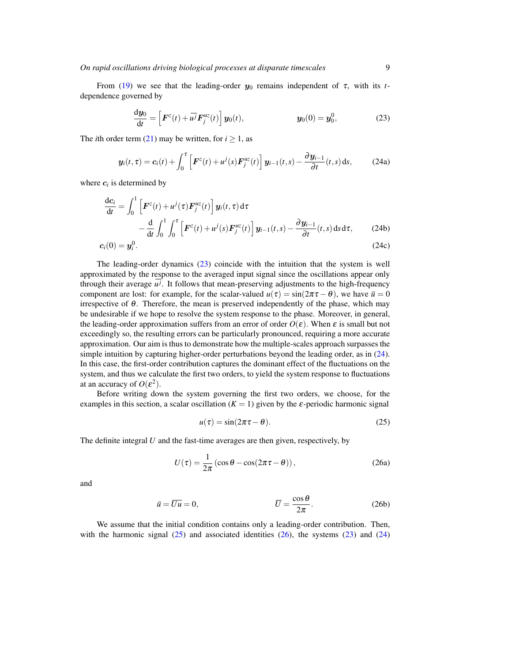From (19) we see that the leading-order  $y_0$  remains independent of  $\tau$ , with its *t*dependence governed by

$$
\frac{\mathrm{d}\boldsymbol{y}_0}{\mathrm{d}t} = \left[\boldsymbol{F}^z(t) + \overline{u^j}\boldsymbol{F}_j^{uz}(t)\right]\boldsymbol{y}_0(t), \qquad \qquad \boldsymbol{y}_0(0) = \boldsymbol{y}_0^0, \qquad (23)
$$

The *i*th order term (21) may be written, for  $i \ge 1$ , as

$$
\mathbf{y}_i(t,\tau) = \mathbf{c}_i(t) + \int_0^{\tau} \left[ \boldsymbol{F}^z(t) + u^j(s) \boldsymbol{F}_j^{uz}(t) \right] \mathbf{y}_{i-1}(t,s) - \frac{\partial \mathbf{y}_{i-1}}{\partial t}(t,s) \, \mathrm{d}s, \tag{24a}
$$

where  $c_i$  is determined by

$$
\frac{dc_i}{dt} = \int_0^1 \left[ \boldsymbol{F}^z(t) + u^j(\tau) \boldsymbol{F}_j^{uz}(t) \right] \boldsymbol{y}_i(t, \tau) d\tau \n- \frac{d}{dt} \int_0^1 \int_0^{\tau} \left[ \boldsymbol{F}^z(t) + u^j(s) \boldsymbol{F}_j^{uz}(t) \right] \boldsymbol{y}_{i-1}(t, s) - \frac{\partial \boldsymbol{y}_{i-1}}{\partial t}(t, s) ds d\tau, \tag{24b}
$$

$$
c_i(0) = y_i^0. \tag{24c}
$$

The leading-order dynamics (23) coincide with the intuition that the system is well approximated by the response to the averaged input signal since the oscillations appear only through their average  $u^j$ . It follows that mean-preserving adjustments to the high-frequency component are lost: for example, for the scalar-valued  $u(\tau) = \sin(2\pi \tau - \theta)$ , we have  $\bar{u} = 0$ irrespective of  $\theta$ . Therefore, the mean is preserved independently of the phase, which may be undesirable if we hope to resolve the system response to the phase. Moreover, in general, the leading-order approximation suffers from an error of order  $O(\varepsilon)$ . When  $\varepsilon$  is small but not exceedingly so, the resulting errors can be particularly pronounced, requiring a more accurate approximation. Our aim is thus to demonstrate how the multiple-scales approach surpasses the simple intuition by capturing higher-order perturbations beyond the leading order, as in (24). In this case, the first-order contribution captures the dominant effect of the fluctuations on the system, and thus we calculate the first two orders, to yield the system response to fluctuations at an accuracy of  $O(\varepsilon^2)$ .

Before writing down the system governing the first two orders, we choose, for the examples in this section, a scalar oscillation  $(K = 1)$  given by the  $\varepsilon$ -periodic harmonic signal

$$
u(\tau) = \sin(2\pi\tau - \theta). \tag{25}
$$

The definite integral *U* and the fast-time averages are then given, respectively, by

$$
U(\tau) = \frac{1}{2\pi} \left( \cos \theta - \cos(2\pi \tau - \theta) \right),\tag{26a}
$$

and

$$
\bar{u} = \overline{Uu} = 0, \qquad \qquad \overline{U} = \frac{\cos \theta}{2\pi}.
$$
 (26b)

We assume that the initial condition contains only a leading-order contribution. Then, with the harmonic signal  $(25)$  and associated identities  $(26)$ , the systems  $(23)$  and  $(24)$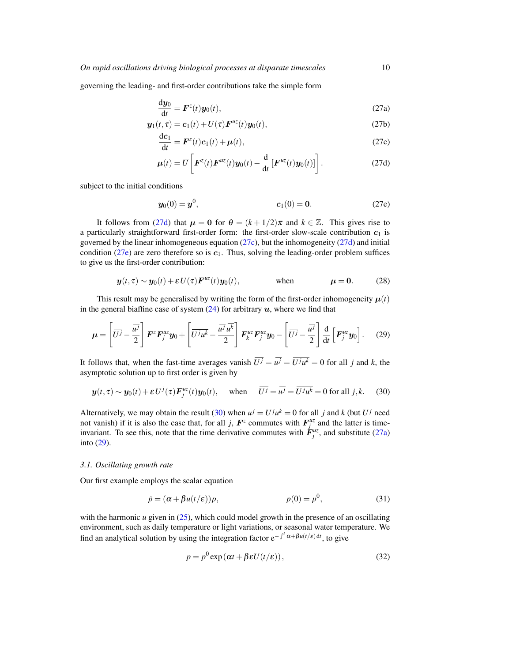governing the leading- and first-order contributions take the simple form

$$
\frac{\mathrm{d}y_0}{\mathrm{d}t} = \boldsymbol{F}^z(t)\boldsymbol{y}_0(t),\tag{27a}
$$

$$
\mathbf{y}_1(t,\tau) = \mathbf{c}_1(t) + U(\tau)\mathbf{F}^{\mu z}(t)\mathbf{y}_0(t),\tag{27b}
$$

$$
\frac{\mathrm{d}c_1}{\mathrm{d}t} = \boldsymbol{F}^z(t)\boldsymbol{c}_1(t) + \boldsymbol{\mu}(t),\tag{27c}
$$

$$
\boldsymbol{\mu}(t) = \overline{U} \left[ \boldsymbol{F}^z(t) \boldsymbol{F}^{uz}(t) \boldsymbol{y}_0(t) - \frac{\mathrm{d}}{\mathrm{d}t} \left[ \boldsymbol{F}^{uz}(t) \boldsymbol{y}_0(t) \right] \right]. \tag{27d}
$$

subject to the initial conditions

$$
y_0(0) = y^0,
$$
  $c_1(0) = 0.$  (27e)

It follows from (27d) that  $\mu = 0$  for  $\theta = (k + 1/2)\pi$  and  $k \in \mathbb{Z}$ . This gives rise to a particularly straightforward first-order form: the first-order slow-scale contribution  $c_1$  is governed by the linear inhomogeneous equation (27c), but the inhomogeneity (27d) and initial condition (27e) are zero therefore so is  $c_1$ . Thus, solving the leading-order problem suffices to give us the first-order contribution:

$$
\mathbf{y}(t,\tau) \sim \mathbf{y}_0(t) + \mathbf{\varepsilon} U(\tau) \mathbf{F}^{\mu z}(t) \mathbf{y}_0(t), \qquad \text{when} \qquad \mu = 0. \qquad (28)
$$

This result may be generalised by writing the form of the first-order inhomogeneity  $\mu(t)$ in the general biaffine case of system  $(24)$  for arbitrary u, where we find that

$$
\mu = \left[\overline{U^{j}} - \frac{\overline{u^{j}}}{2}\right] \boldsymbol{F}^{z} \boldsymbol{F}_{j}^{uz} \boldsymbol{y}_{0} + \left[\overline{U^{j} u^{k}} - \frac{\overline{u^{j}} \overline{u^{k}}}{2}\right] \boldsymbol{F}_{k}^{uz} \boldsymbol{F}_{j}^{uz} \boldsymbol{y}_{0} - \left[\overline{U^{j}} - \frac{\overline{u^{j}}}{2}\right] \frac{\mathrm{d}}{\mathrm{d}t} \left[\boldsymbol{F}_{j}^{uz} \boldsymbol{y}_{0}\right]. \tag{29}
$$

It follows that, when the fast-time averages vanish  $U^j = u^j = U^j u^k = 0$  for all *j* and *k*, the asymptotic solution up to first order is given by

$$
\mathbf{y}(t,\tau) \sim \mathbf{y}_0(t) + \varepsilon U^j(\tau) \mathbf{F}_j^{\mu z}(t) \mathbf{y}_0(t), \quad \text{when} \quad \overline{U^j} = \overline{u^j} = \overline{U^j u^k} = 0 \text{ for all } j,k. \tag{30}
$$

Alternatively, we may obtain the result (30) when  $u^j = U^j u^k = 0$  for all *j* and *k* (but  $\overline{U^j}$  need not vanish) if it is also the case that, for all *j*,  $F^z$  commutes with  $F_j^{uz}$  and the latter is timeinvariant. To see this, note that the time derivative commutes with  $\dot{F}^{uz}_{j}$ , and substitute (27a) into (29).

#### *3.1. Oscillating growth rate*

Our first example employs the scalar equation

$$
\dot{p} = (\alpha + \beta u(t/\varepsilon))p, \qquad p(0) = p^0,
$$
\n(31)

with the harmonic *u* given in (25), which could model growth in the presence of an oscillating environment, such as daily temperature or light variations, or seasonal water temperature. We find an analytical solution by using the integration factor  $e^{-\int^t \alpha + \beta u(t/\varepsilon) dt}$ , to give

$$
p = p^{0} \exp(\alpha t + \beta \varepsilon U(t/\varepsilon)),
$$
\n(32)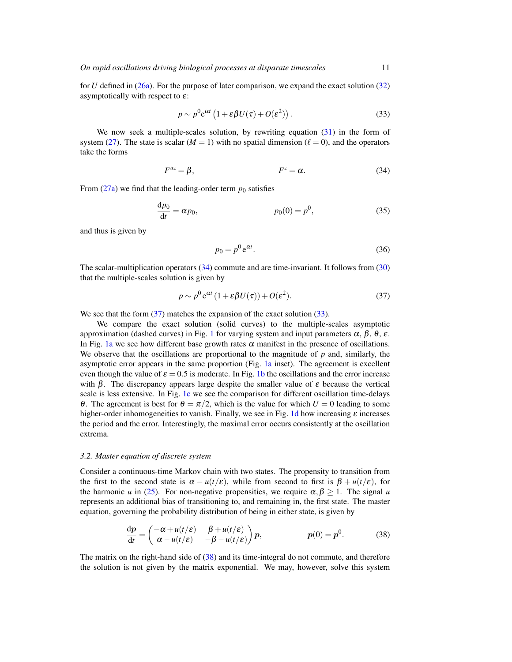for *U* defined in (26a). For the purpose of later comparison, we expand the exact solution (32) asymptotically with respect to  $\varepsilon$ :

$$
p \sim p^0 e^{\alpha t} \left( 1 + \varepsilon \beta U(\tau) + O(\varepsilon^2) \right). \tag{33}
$$

We now seek a multiple-scales solution, by rewriting equation (31) in the form of system (27). The state is scalar ( $M = 1$ ) with no spatial dimension ( $\ell = 0$ ), and the operators take the forms

$$
F^{uz} = \beta, \qquad F^{z} = \alpha. \tag{34}
$$

From  $(27a)$  we find that the leading-order term  $p_0$  satisfies

$$
\frac{dp_0}{dt} = \alpha p_0, \qquad p_0(0) = p^0,
$$
 (35)

and thus is given by

$$
p_0 = p^0 e^{\alpha t}.\tag{36}
$$

The scalar-multiplication operators (34) commute and are time-invariant. It follows from (30) that the multiple-scales solution is given by

$$
p \sim p^0 e^{\alpha t} (1 + \varepsilon \beta U(\tau)) + O(\varepsilon^2). \tag{37}
$$

We see that the form  $(37)$  matches the expansion of the exact solution  $(33)$ .

We compare the exact solution (solid curves) to the multiple-scales asymptotic approximation (dashed curves) in Fig. 1 for varying system and input parameters  $\alpha$ ,  $\beta$ ,  $\theta$ , ε. In Fig. 1a we see how different base growth rates  $\alpha$  manifest in the presence of oscillations. We observe that the oscillations are proportional to the magnitude of *p* and, similarly, the asymptotic error appears in the same proportion (Fig. 1a inset). The agreement is excellent even though the value of  $\epsilon = 0.5$  is moderate. In Fig. 1b the oscillations and the error increase with  $\beta$ . The discrepancy appears large despite the smaller value of  $\varepsilon$  because the vertical scale is less extensive. In Fig. 1c we see the comparison for different oscillation time-delays θ. The agreement is best for  $θ = π/2$ , which is the value for which  $\overline{U} = 0$  leading to some higher-order inhomogeneities to vanish. Finally, we see in Fig. 1d how increasing  $\varepsilon$  increases the period and the error. Interestingly, the maximal error occurs consistently at the oscillation extrema.

#### *3.2. Master equation of discrete system*

Consider a continuous-time Markov chain with two states. The propensity to transition from the first to the second state is  $\alpha - u(t/\varepsilon)$ , while from second to first is  $\beta + u(t/\varepsilon)$ , for the harmonic *u* in (25). For non-negative propensities, we require  $\alpha, \beta \geq 1$ . The signal *u* represents an additional bias of transitioning to, and remaining in, the first state. The master equation, governing the probability distribution of being in either state, is given by

$$
\frac{dp}{dt} = \begin{pmatrix} -\alpha + u(t/\varepsilon) & \beta + u(t/\varepsilon) \\ \alpha - u(t/\varepsilon) & -\beta - u(t/\varepsilon) \end{pmatrix} p, \qquad p(0) = p^0.
$$
 (38)

The matrix on the right-hand side of (38) and its time-integral do not commute, and therefore the solution is not given by the matrix exponential. We may, however, solve this system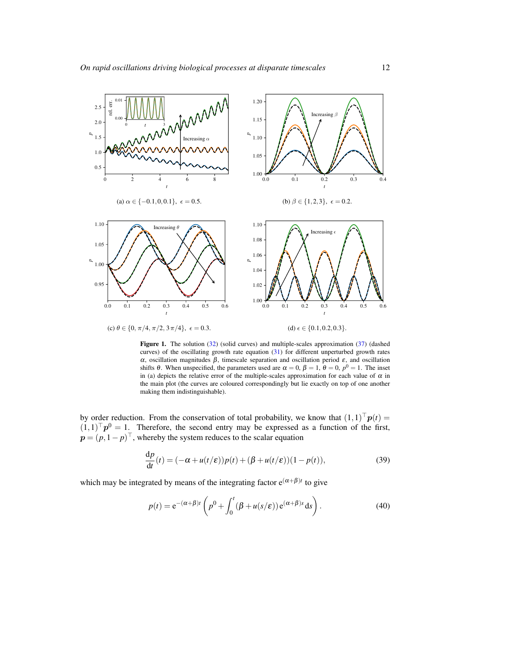

Figure 1. The solution (32) (solid curves) and multiple-scales approximation (37) (dashed curves) of the oscillating growth rate equation (31) for different unperturbed growth rates α, oscillation magnitudes β, timescale separation and oscillation period ε, and oscillation shifts  $\theta$ . When unspecified, the parameters used are  $\alpha = 0$ ,  $\beta = 1$ ,  $\theta = 0$ ,  $p^0 = 1$ . The inset in (a) depicts the relative error of the multiple-scales approximation for each value of  $\alpha$  in the main plot (the curves are coloured correspondingly but lie exactly on top of one another making them indistinguishable).

by order reduction. From the conservation of total probability, we know that  $(1,1)^{\dagger}p(t)$  =  $(1,1)$ <sup>T</sup> $p$ <sup>0</sup> = 1. Therefore, the second entry may be expressed as a function of the first,  $p = (p, 1-p)^{\top}$ , whereby the system reduces to the scalar equation

$$
\frac{dp}{dt}(t) = (-\alpha + u(t/\varepsilon))p(t) + (\beta + u(t/\varepsilon))(1 - p(t)),
$$
\n(39)

which may be integrated by means of the integrating factor  $e^{(\alpha+\beta)t}$  to give

$$
p(t) = e^{-(\alpha+\beta)t} \left( p^0 + \int_0^t (\beta + u(s/\varepsilon)) e^{(\alpha+\beta)s} ds \right). \tag{40}
$$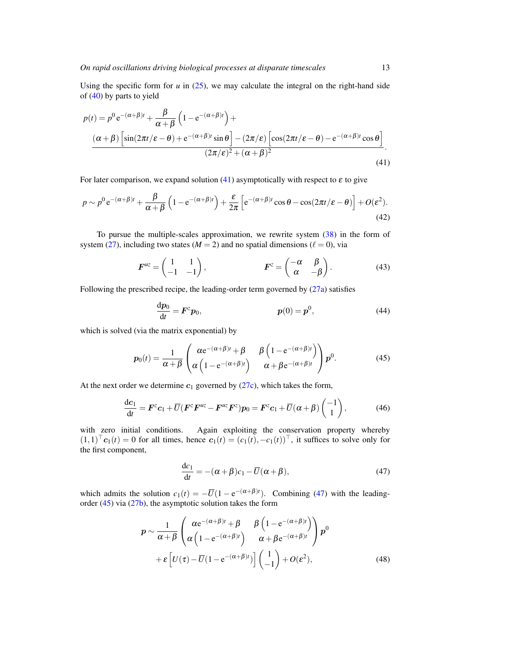Using the specific form for  $u$  in  $(25)$ , we may calculate the integral on the right-hand side of (40) by parts to yield

$$
p(t) = p^{0} e^{-(\alpha+\beta)t} + \frac{\beta}{\alpha+\beta} \left(1 - e^{-(\alpha+\beta)t}\right) +
$$
  

$$
\frac{(\alpha+\beta) \left[\sin(2\pi t/\varepsilon - \theta) + e^{-(\alpha+\beta)t} \sin \theta\right] - (2\pi/\varepsilon) \left[\cos(2\pi t/\varepsilon - \theta) - e^{-(\alpha+\beta)t} \cos \theta\right]}{(2\pi/\varepsilon)^{2} + (\alpha+\beta)^{2}}.
$$
  
(41)

For later comparison, we expand solution (41) asymptotically with respect to  $\varepsilon$  to give

$$
p \sim p^0 e^{-(\alpha+\beta)t} + \frac{\beta}{\alpha+\beta} \left(1 - e^{-(\alpha+\beta)t}\right) + \frac{\varepsilon}{2\pi} \left[e^{-(\alpha+\beta)t} \cos \theta - \cos(2\pi t/\varepsilon - \theta)\right] + O(\varepsilon^2). \tag{42}
$$

To pursue the multiple-scales approximation, we rewrite system (38) in the form of system (27), including two states ( $M = 2$ ) and no spatial dimensions ( $\ell = 0$ ), via

$$
\boldsymbol{F}^{uz} = \begin{pmatrix} 1 & 1 \\ -1 & -1 \end{pmatrix}, \qquad \boldsymbol{F}^{z} = \begin{pmatrix} -\alpha & \beta \\ \alpha & -\beta \end{pmatrix}.
$$
 (43)

Following the prescribed recipe, the leading-order term governed by (27a) satisfies

$$
\frac{dp_0}{dt} = F^z p_0, \qquad p(0) = p^0,
$$
\n(44)

which is solved (via the matrix exponential) by

$$
p_0(t) = \frac{1}{\alpha + \beta} \begin{pmatrix} \alpha e^{-(\alpha + \beta)t} + \beta & \beta \left( 1 - e^{-(\alpha + \beta)t} \right) \\ \alpha \left( 1 - e^{-(\alpha + \beta)t} \right) & \alpha + \beta e^{-(\alpha + \beta)t} \end{pmatrix} p^0.
$$
 (45)

At the next order we determine  $c_1$  governed by (27c), which takes the form,

$$
\frac{dc_1}{dt} = \boldsymbol{F}^z \boldsymbol{c}_1 + \overline{U} (\boldsymbol{F}^z \boldsymbol{F}^{uz} - \boldsymbol{F}^{uz} \boldsymbol{F}^z) \boldsymbol{p}_0 = \boldsymbol{F}^z \boldsymbol{c}_1 + \overline{U} (\boldsymbol{\alpha} + \boldsymbol{\beta}) \begin{pmatrix} -1 \\ 1 \end{pmatrix},
$$
(46)

with zero initial conditions. Again exploiting the conservation property whereby  $(1,1)^{\dagger}$  **c**<sub>1</sub>(*t*) = 0 for all times, hence  $c_1(t) = (c_1(t), -c_1(t))^{\dagger}$ , it suffices to solve only for the first component,

$$
\frac{dc_1}{dt} = -(\alpha + \beta)c_1 - \overline{U}(\alpha + \beta),\tag{47}
$$

which admits the solution  $c_1(t) = -\overline{U}(1 - e^{-(\alpha+\beta)t})$ . Combining (47) with the leadingorder (45) via (27b), the asymptotic solution takes the form

$$
p \sim \frac{1}{\alpha + \beta} \begin{pmatrix} \alpha e^{-(\alpha + \beta)t} + \beta & \beta \left( 1 - e^{-(\alpha + \beta)t} \right) \\ \alpha \left( 1 - e^{-(\alpha + \beta)t} \right) & \alpha + \beta e^{-(\alpha + \beta)t} \end{pmatrix} p^{0}
$$

$$
+ \varepsilon \left[ U(\tau) - \overline{U} (1 - e^{-(\alpha + \beta)t}) \right] \begin{pmatrix} 1 \\ -1 \end{pmatrix} + O(\varepsilon^{2}), \tag{48}
$$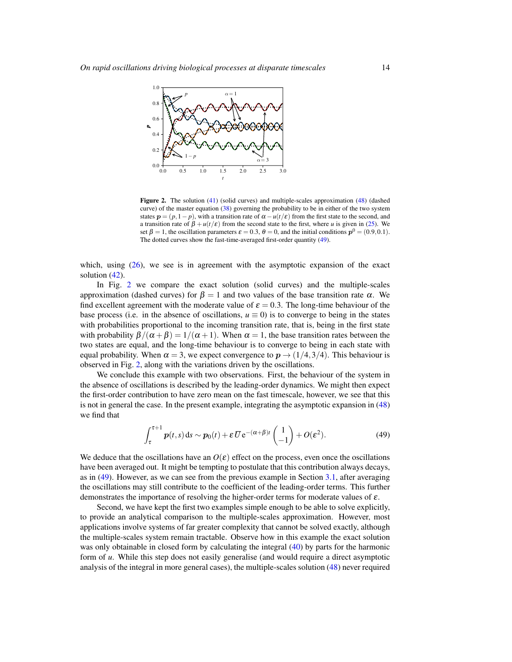

Figure 2. The solution (41) (solid curves) and multiple-scales approximation (48) (dashed curve) of the master equation (38) governing the probability to be in either of the two system states  $p = (p, 1-p)$ , with a transition rate of  $\alpha - u(t/\varepsilon)$  from the first state to the second, and a transition rate of  $\beta + u(t/\varepsilon)$  from the second state to the first, where *u* is given in (25). We set  $\beta = 1$ , the oscillation parameters  $\varepsilon = 0.3$ ,  $\theta = 0$ , and the initial conditions  $p^0 = (0.9, 0.1)$ . The dotted curves show the fast-time-averaged first-order quantity (49).

which, using (26), we see is in agreement with the asymptotic expansion of the exact solution  $(42)$ .

In Fig. 2 we compare the exact solution (solid curves) and the multiple-scales approximation (dashed curves) for  $\beta = 1$  and two values of the base transition rate  $\alpha$ . We find excellent agreement with the moderate value of  $\varepsilon = 0.3$ . The long-time behaviour of the base process (i.e. in the absence of oscillations,  $u \equiv 0$ ) is to converge to being in the states with probabilities proportional to the incoming transition rate, that is, being in the first state with probability  $\beta/(\alpha + \beta) = 1/(\alpha + 1)$ . When  $\alpha = 1$ , the base transition rates between the two states are equal, and the long-time behaviour is to converge to being in each state with equal probability. When  $\alpha = 3$ , we expect convergence to  $p \rightarrow (1/4,3/4)$ . This behaviour is observed in Fig. 2, along with the variations driven by the oscillations.

We conclude this example with two observations. First, the behaviour of the system in the absence of oscillations is described by the leading-order dynamics. We might then expect the first-order contribution to have zero mean on the fast timescale, however, we see that this is not in general the case. In the present example, integrating the asymptotic expansion in (48) we find that

$$
\int_{\tau}^{\tau+1} p(t,s) \, ds \sim p_0(t) + \varepsilon \, \overline{U} \, e^{-(\alpha+\beta)t} \begin{pmatrix} 1 \\ -1 \end{pmatrix} + O(\varepsilon^2). \tag{49}
$$

We deduce that the oscillations have an  $O(\varepsilon)$  effect on the process, even once the oscillations have been averaged out. It might be tempting to postulate that this contribution always decays, as in (49). However, as we can see from the previous example in Section 3.1, after averaging the oscillations may still contribute to the coefficient of the leading-order terms. This further demonstrates the importance of resolving the higher-order terms for moderate values of  $\varepsilon$ .

Second, we have kept the first two examples simple enough to be able to solve explicitly, to provide an analytical comparison to the multiple-scales approximation. However, most applications involve systems of far greater complexity that cannot be solved exactly, although the multiple-scales system remain tractable. Observe how in this example the exact solution was only obtainable in closed form by calculating the integral (40) by parts for the harmonic form of *u*. While this step does not easily generalise (and would require a direct asymptotic analysis of the integral in more general cases), the multiple-scales solution (48) never required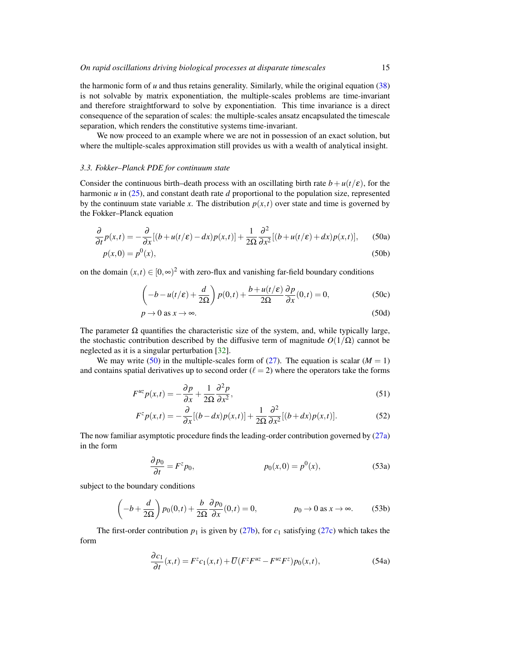the harmonic form of *u* and thus retains generality. Similarly, while the original equation (38) is not solvable by matrix exponentiation, the multiple-scales problems are time-invariant and therefore straightforward to solve by exponentiation. This time invariance is a direct consequence of the separation of scales: the multiple-scales ansatz encapsulated the timescale separation, which renders the constitutive systems time-invariant.

We now proceed to an example where we are not in possession of an exact solution, but where the multiple-scales approximation still provides us with a wealth of analytical insight.

#### *3.3. Fokker–Planck PDE for continuum state*

Consider the continuous birth–death process with an oscillating birth rate  $b + u(t/\varepsilon)$ , for the harmonic *u* in (25), and constant death rate *d* proportional to the population size, represented by the continuum state variable *x*. The distribution  $p(x,t)$  over state and time is governed by the Fokker–Planck equation

$$
\frac{\partial}{\partial t}p(x,t) = -\frac{\partial}{\partial x}[(b+u(t/\varepsilon)-dx)p(x,t)] + \frac{1}{2\Omega}\frac{\partial^2}{\partial x^2}[(b+u(t/\varepsilon)+dx)p(x,t)],\tag{50a}
$$

$$
p(x,0) = p^{0}(x),
$$
\n(50b)

on the domain  $(x,t) \in [0,\infty)^2$  with zero-flux and vanishing far-field boundary conditions

$$
\left(-b - u(t/\varepsilon) + \frac{d}{2\Omega}\right)p(0,t) + \frac{b + u(t/\varepsilon)}{2\Omega}\frac{\partial p}{\partial x}(0,t) = 0,
$$
\n(50c)

$$
p \to 0 \text{ as } x \to \infty. \tag{50d}
$$

The parameter  $\Omega$  quantifies the characteristic size of the system, and, while typically large, the stochastic contribution described by the diffusive term of magnitude  $O(1/\Omega)$  cannot be neglected as it is a singular perturbation [32].

We may write (50) in the multiple-scales form of (27). The equation is scalar ( $M = 1$ ) and contains spatial derivatives up to second order  $(\ell = 2)$  where the operators take the forms

$$
F^{uz}p(x,t) = -\frac{\partial p}{\partial x} + \frac{1}{2\Omega} \frac{\partial^2 p}{\partial x^2},\tag{51}
$$

$$
F^z p(x,t) = -\frac{\partial}{\partial x} [(b - dx) p(x,t)] + \frac{1}{2\Omega} \frac{\partial^2}{\partial x^2} [(b + dx) p(x,t)].
$$
 (52)

The now familiar asymptotic procedure finds the leading-order contribution governed by (27a) in the form

$$
\frac{\partial p_0}{\partial t} = F^z p_0, \qquad p_0(x,0) = p^0(x), \qquad (53a)
$$

subject to the boundary conditions

$$
\left(-b + \frac{d}{2\Omega}\right) p_0(0, t) + \frac{b}{2\Omega} \frac{\partial p_0}{\partial x}(0, t) = 0, \qquad p_0 \to 0 \text{ as } x \to \infty.
$$
 (53b)

The first-order contribution  $p_1$  is given by (27b), for  $c_1$  satisfying (27c) which takes the form

$$
\frac{\partial c_1}{\partial t}(x,t) = F^z c_1(x,t) + \overline{U}(F^z F^{uz} - F^{uz} F^z) p_0(x,t),\tag{54a}
$$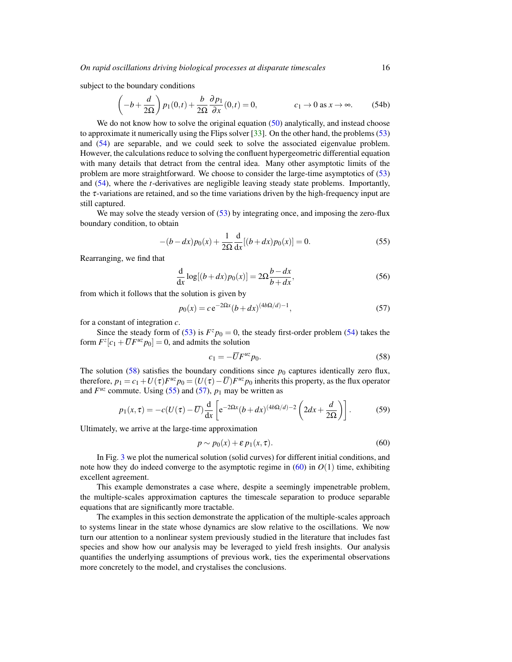subject to the boundary conditions

$$
\left(-b+\frac{d}{2\Omega}\right)p_1(0,t)+\frac{b}{2\Omega}\frac{\partial p_1}{\partial x}(0,t)=0, \qquad c_1 \to 0 \text{ as } x \to \infty. \tag{54b}
$$

We do not know how to solve the original equation (50) analytically, and instead choose to approximate it numerically using the Flips solver [33]. On the other hand, the problems (53) and (54) are separable, and we could seek to solve the associated eigenvalue problem. However, the calculations reduce to solving the confluent hypergeometric differential equation with many details that detract from the central idea. Many other asymptotic limits of the problem are more straightforward. We choose to consider the large-time asymptotics of (53) and (54), where the *t*-derivatives are negligible leaving steady state problems. Importantly, the  $\tau$ -variations are retained, and so the time variations driven by the high-frequency input are still captured.

We may solve the steady version of (53) by integrating once, and imposing the zero-flux boundary condition, to obtain

$$
-(b - dx)p_0(x) + \frac{1}{2\Omega} \frac{d}{dx} [(b + dx)p_0(x)] = 0.
$$
 (55)

Rearranging, we find that

$$
\frac{\mathrm{d}}{\mathrm{d}x}\log[(b+dx)p_0(x)] = 2\Omega \frac{b-dx}{b+dx},\tag{56}
$$

from which it follows that the solution is given by

$$
p_0(x) = c e^{-2\Omega x} (b + dx)^{(4b\Omega/d) - 1},
$$
\n(57)

for a constant of integration *c*.

Since the steady form of (53) is  $F^z p_0 = 0$ , the steady first-order problem (54) takes the form  $F^z[c_1 + \overline{U}F^{uz}p_0] = 0$ , and admits the solution

$$
c_1 = -\overline{U}F^{uz}p_0. \tag{58}
$$

The solution  $(58)$  satisfies the boundary conditions since  $p_0$  captures identically zero flux, therefore,  $p_1 = c_1 + U(\tau)F^{uz}p_0 = (U(\tau) - \overline{U})F^{uz}p_0$  inherits this property, as the flux operator and  $F^{uz}$  commute. Using (55) and (57),  $p_1$  may be written as

$$
p_1(x,\tau) = -c(U(\tau) - \overline{U})\frac{d}{dx}\left[e^{-2\Omega x}(b+dx)^{(4b\Omega/d)-2}\left(2dx + \frac{d}{2\Omega}\right)\right].
$$
 (59)

Ultimately, we arrive at the large-time approximation

$$
p \sim p_0(x) + \varepsilon \, p_1(x, \tau). \tag{60}
$$

In Fig. 3 we plot the numerical solution (solid curves) for different initial conditions, and note how they do indeed converge to the asymptotic regime in  $(60)$  in  $O(1)$  time, exhibiting excellent agreement.

This example demonstrates a case where, despite a seemingly impenetrable problem, the multiple-scales approximation captures the timescale separation to produce separable equations that are significantly more tractable.

The examples in this section demonstrate the application of the multiple-scales approach to systems linear in the state whose dynamics are slow relative to the oscillations. We now turn our attention to a nonlinear system previously studied in the literature that includes fast species and show how our analysis may be leveraged to yield fresh insights. Our analysis quantifies the underlying assumptions of previous work, ties the experimental observations more concretely to the model, and crystalises the conclusions.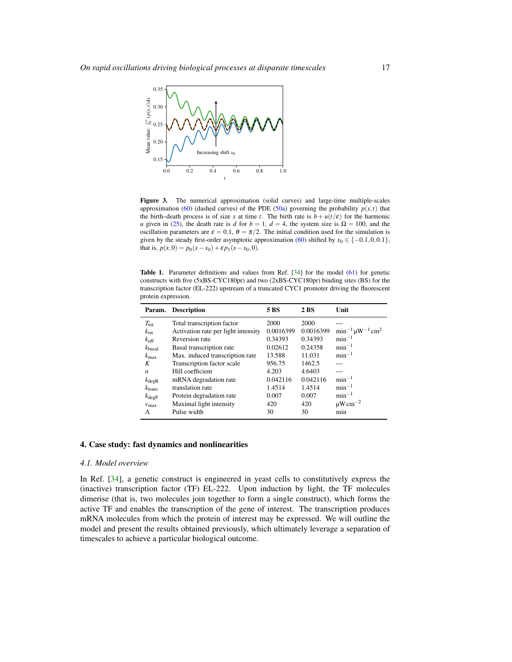

Figure 3. The numerical approximation (solid curves) and large-time multiple-scales approximation (60) (dashed curves) of the PDE (50a) governing the probability  $p(x,t)$  that the birth–death process is of size *x* at time *t*. The birth rate is  $b + u(t/\varepsilon)$  for the harmonic *u* given in (25), the death rate is *d* for  $b = 1$ ,  $d = 4$ , the system size is  $\Omega = 100$ , and the oscillation parameters are  $\varepsilon = 0.1$ ,  $\theta = \pi/2$ . The initial condition used for the simulation is given by the steady first-order asymptotic approximation (60) shifted by  $x_0 \in \{-0.1, 0, 0.1\}$ , that is,  $p(x,0) = p_0(x-x_0) + \varepsilon p_1(x-x_0,0)$ .

Table 1. Parameter definitions and values from Ref. [34] for the model (61) for genetic constructs with five (5xBS-CYC180pr) and two (2xBS-CYC180pr) binding sites (BS) for the transcription factor (EL-222) upstream of a truncated CYC1 promoter driving the fluorescent protein expression.

| Param.             | <b>Description</b>                  | 5 BS      | 2 BS      | Unit                                   |
|--------------------|-------------------------------------|-----------|-----------|----------------------------------------|
| $T_{\rm tot}$      | Total transcription factor          | 2000      | 2000      |                                        |
| $k_{on}$           | Activation rate per light intensity | 0.0016399 | 0.0016399 | $\min^{-1} \mu W^{-1}$ cm <sup>2</sup> |
| $k_{\text{off}}$   | Reversion rate                      | 0.34393   | 0.34393   | $min^{-1}$                             |
| $k_{\text{basal}}$ | Basal transcription rate            | 0.02612   | 0.24358   | $min^{-1}$                             |
| $k_{\rm max}$      | Max. induced transcription rate     | 13.588    | 11.031    | $min^{-1}$                             |
| K                  | Transcription factor scale          | 956.75    | 1462.5    |                                        |
| $\boldsymbol{n}$   | Hill coefficient                    | 4.203     | 4.6403    |                                        |
| $k_{\text{degR}}$  | mRNA degradation rate               | 0.042116  | 0.042116  | $min^{-1}$                             |
| $k_{\text{trans}}$ | translation rate                    | 1.4514    | 1.4514    | $min^{-1}$                             |
| $k_{\text{degP}}$  | Protein degradation rate            | 0.007     | 0.007     | $min^{-1}$                             |
| $v_{\rm max}$      | Maximal light intensity             | 420       | 420       | $\mu$ W cm <sup>-2</sup>               |
| Λ                  | Pulse width                         | 30        | 30        | min                                    |

#### 4. Case study: fast dynamics and nonlinearities

#### *4.1. Model overview*

In Ref. [34], a genetic construct is engineered in yeast cells to constitutively express the (inactive) transcription factor (TF) EL-222. Upon induction by light, the TF molecules dimerise (that is, two molecules join together to form a single construct), which forms the active TF and enables the transcription of the gene of interest. The transcription produces mRNA molecules from which the protein of interest may be expressed. We will outline the model and present the results obtained previously, which ultimately leverage a separation of timescales to achieve a particular biological outcome.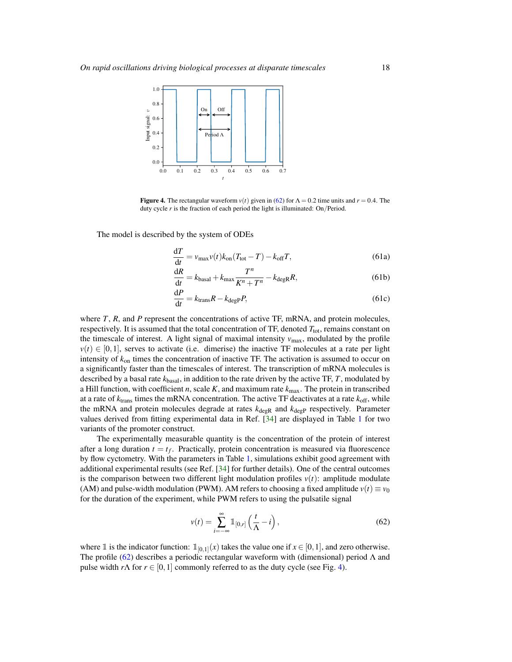

Figure 4. The rectangular waveform  $v(t)$  given in (62) for  $\Lambda = 0.2$  time units and  $r = 0.4$ . The duty cycle *r* is the fraction of each period the light is illuminated: On/Period.

The model is described by the system of ODEs

$$
\frac{dT}{dt} = v_{\text{max}}v(t)k_{\text{on}}(T_{\text{tot}} - T) - k_{\text{off}}T,
$$
\n(61a)

$$
\frac{dR}{dt} = k_{\text{basal}} + k_{\text{max}} \frac{T^n}{K^n + T^n} - k_{\text{degR}} R,\tag{61b}
$$

$$
\frac{\mathrm{d}P}{\mathrm{d}t} = k_{\text{trans}}R - k_{\text{degP}}P,\tag{61c}
$$

where *T*, *R*, and *P* represent the concentrations of active TF, mRNA, and protein molecules, respectively. It is assumed that the total concentration of TF, denoted  $T_{\text{tot}}$ , remains constant on the timescale of interest. A light signal of maximal intensity  $v_{\text{max}}$ , modulated by the profile  $v(t) \in [0,1]$ , serves to activate (i.e. dimerise) the inactive TF molecules at a rate per light intensity of *k*on times the concentration of inactive TF. The activation is assumed to occur on a significantly faster than the timescales of interest. The transcription of mRNA molecules is described by a basal rate *k*basal, in addition to the rate driven by the active TF, *T*, modulated by a Hill function, with coefficient  $n$ , scale  $K$ , and maximum rate  $k_{\text{max}}$ . The protein in transcribed at a rate of *k*trans times the mRNA concentration. The active TF deactivates at a rate *k*off, while the mRNA and protein molecules degrade at rates  $k_{\text{degR}}$  and  $k_{\text{degP}}$  respectively. Parameter values derived from fitting experimental data in Ref. [34] are displayed in Table 1 for two variants of the promoter construct.

The experimentally measurable quantity is the concentration of the protein of interest after a long duration  $t = t_f$ . Practically, protein concentration is measured via fluorescence by flow cyctometry. With the parameters in Table 1, simulations exhibit good agreement with additional experimental results (see Ref. [34] for further details). One of the central outcomes is the comparison between two different light modulation profiles  $v(t)$ : amplitude modulate (AM) and pulse-width modulation (PWM). AM refers to choosing a fixed amplitude  $v(t) \equiv v_0$ for the duration of the experiment, while PWM refers to using the pulsatile signal

$$
v(t) = \sum_{i = -\infty}^{\infty} \mathbb{1}_{[0,r]} \left( \frac{t}{\Lambda} - i \right),\tag{62}
$$

where  $\mathbb{1}$  is the indicator function:  $\mathbb{1}_{[0,1]}(x)$  takes the value one if  $x \in [0,1]$ , and zero otherwise. The profile (62) describes a periodic rectangular waveform with (dimensional) period  $\Lambda$  and pulse width  $r\Lambda$  for  $r \in [0,1]$  commonly referred to as the duty cycle (see Fig. 4).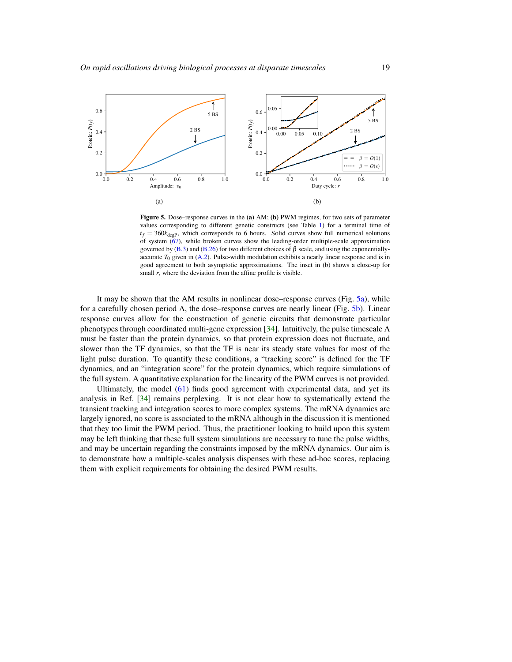

Figure 5. Dose–response curves in the (a) AM; (b) PWM regimes, for two sets of parameter values corresponding to different genetic constructs (see Table 1) for a terminal time of  $t_f = 360k_{\text{deep}}$ , which corresponds to 6 hours. Solid curves show full numerical solutions of system  $(67)$ , while broken curves show the leading-order multiple-scale approximation governed by (B.3) and (B.26) for two different choices of  $\beta$  scale, and using the exponentiallyaccurate  $T_0$  given in  $(A.2)$ . Pulse-width modulation exhibits a nearly linear response and is in good agreement to both asymptotic approximations. The inset in (b) shows a close-up for small *r*, where the deviation from the affine profile is visible.

It may be shown that the AM results in nonlinear dose–response curves (Fig. 5a), while for a carefully chosen period  $\Lambda$ , the dose–response curves are nearly linear (Fig. 5b). Linear response curves allow for the construction of genetic circuits that demonstrate particular phenotypes through coordinated multi-gene expression [34]. Intuitively, the pulse timescale  $\Lambda$ must be faster than the protein dynamics, so that protein expression does not fluctuate, and slower than the TF dynamics, so that the TF is near its steady state values for most of the light pulse duration. To quantify these conditions, a "tracking score" is defined for the TF dynamics, and an "integration score" for the protein dynamics, which require simulations of the full system. A quantitative explanation for the linearity of the PWM curves is not provided.

Ultimately, the model (61) finds good agreement with experimental data, and yet its analysis in Ref. [34] remains perplexing. It is not clear how to systematically extend the transient tracking and integration scores to more complex systems. The mRNA dynamics are largely ignored, no score is associated to the mRNA although in the discussion it is mentioned that they too limit the PWM period. Thus, the practitioner looking to build upon this system may be left thinking that these full system simulations are necessary to tune the pulse widths, and may be uncertain regarding the constraints imposed by the mRNA dynamics. Our aim is to demonstrate how a multiple-scales analysis dispenses with these ad-hoc scores, replacing them with explicit requirements for obtaining the desired PWM results.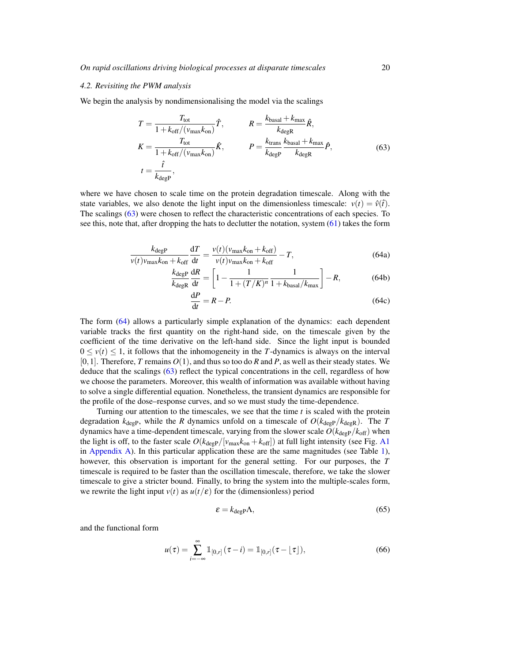### *4.2. Revisiting the PWM analysis*

We begin the analysis by nondimensionalising the model via the scalings

$$
T = \frac{T_{\text{tot}}}{1 + k_{\text{off}} / (v_{\text{max}} k_{\text{on}})} \hat{T}, \qquad R = \frac{k_{\text{basal}} + k_{\text{max}}}{k_{\text{degR}}} \hat{R},
$$
  
\n
$$
K = \frac{T_{\text{tot}}}{1 + k_{\text{off}} / (v_{\text{max}} k_{\text{on}})} \hat{K}, \qquad P = \frac{k_{\text{trans}}}{k_{\text{degP}}} \frac{k_{\text{basal}} + k_{\text{max}}}{k_{\text{degR}}} \hat{P},
$$
  
\n
$$
t = \frac{\hat{t}}{k_{\text{degP}}}, \qquad (63)
$$

where we have chosen to scale time on the protein degradation timescale. Along with the state variables, we also denote the light input on the dimensionless timescale:  $v(t) = \hat{v}(t)$ . The scalings (63) were chosen to reflect the characteristic concentrations of each species. To see this, note that, after dropping the hats to declutter the notation, system (61) takes the form

$$
\frac{k_{\text{degP}}}{v(t)v_{\text{max}}k_{\text{on}} + k_{\text{off}}} \frac{dT}{dt} = \frac{v(t)(v_{\text{max}}k_{\text{on}} + k_{\text{off}})}{v(t)v_{\text{max}}k_{\text{on}} + k_{\text{off}}} - T,\tag{64a}
$$

$$
\frac{k_{\text{degP}}}{k_{\text{degR}}}\frac{\mathrm{d}R}{\mathrm{d}t} = \left[1 - \frac{1}{1 + (T/K)^n} \frac{1}{1 + k_{\text{basal}}/k_{\text{max}}}\right] - R,\tag{64b}
$$

$$
\frac{\text{d}P}{\text{d}t} = R - P.\tag{64c}
$$

The form (64) allows a particularly simple explanation of the dynamics: each dependent variable tracks the first quantity on the right-hand side, on the timescale given by the coefficient of the time derivative on the left-hand side. Since the light input is bounded  $0 \le v(t) \le 1$ , it follows that the inhomogeneity in the *T*-dynamics is always on the interval  $[0,1]$ . Therefore, *T* remains  $O(1)$ , and thus so too do *R* and *P*, as well as their steady states. We deduce that the scalings (63) reflect the typical concentrations in the cell, regardless of how we choose the parameters. Moreover, this wealth of information was available without having to solve a single differential equation. Nonetheless, the transient dynamics are responsible for the profile of the dose–response curves, and so we must study the time-dependence.

Turning our attention to the timescales, we see that the time *t* is scaled with the protein degradation  $k_{\text{degP}}$ , while the *R* dynamics unfold on a timescale of  $O(k_{\text{degP}}/k_{\text{degR}})$ . The *T* dynamics have a time-dependent timescale, varying from the slower scale  $O(k_{\text{degP}}/k_{\text{off}})$  when the light is off, to the faster scale  $O(k_{\text{degP}}/[v_{\text{max}}k_{\text{on}}+k_{\text{off}}])$  at full light intensity (see Fig. A1 in Appendix A). In this particular application these are the same magnitudes (see Table  $1$ ), however, this observation is important for the general setting. For our purposes, the *T* timescale is required to be faster than the oscillation timescale, therefore, we take the slower timescale to give a stricter bound. Finally, to bring the system into the multiple-scales form, we rewrite the light input  $v(t)$  as  $u(t/\varepsilon)$  for the (dimensionless) period

$$
\varepsilon = k_{\text{degP}} \Lambda,\tag{65}
$$

and the functional form

$$
u(\tau) = \sum_{i=-\infty}^{\infty} \mathbb{1}_{[0,r]}(\tau - i) = \mathbb{1}_{[0,r]}(\tau - \lfloor \tau \rfloor),\tag{66}
$$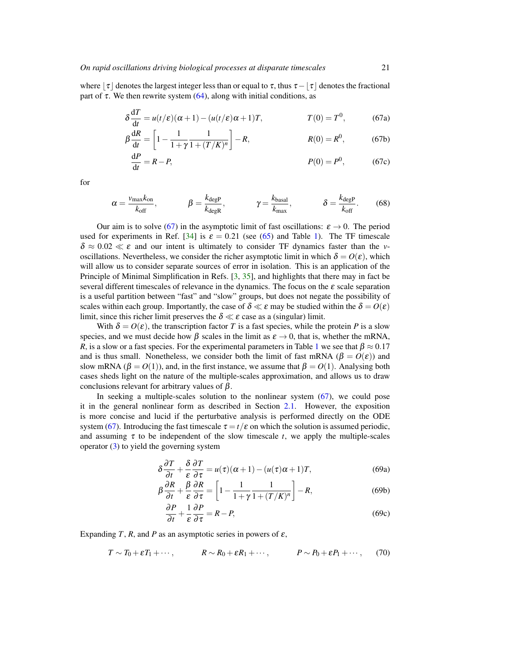where  $\tau$  denotes the largest integer less than or equal to  $\tau$ , thus  $\tau - \tau$  denotes the fractional part of  $\tau$ . We then rewrite system (64), along with initial conditions, as

$$
\delta \frac{dT}{dt} = u(t/\varepsilon)(\alpha + 1) - (u(t/\varepsilon)\alpha + 1)T, \qquad T(0) = T^0,
$$
 (67a)

$$
\beta \frac{dR}{dt} = \left[ 1 - \frac{1}{1 + \gamma} \frac{1}{1 + (T/K)^n} \right] - R, \qquad R(0) = R^0, \qquad (67b)
$$

$$
\frac{\mathrm{d}P}{\mathrm{d}t} = R - P,\tag{67c}
$$

for

$$
\alpha = \frac{v_{\text{max}}k_{\text{on}}}{k_{\text{off}}}, \qquad \beta = \frac{k_{\text{degP}}}{k_{\text{degR}}}, \qquad \gamma = \frac{k_{\text{basal}}}{k_{\text{max}}}, \qquad \delta = \frac{k_{\text{degP}}}{k_{\text{off}}}.
$$
(68)

Our aim is to solve (67) in the asymptotic limit of fast oscillations:  $\varepsilon \to 0$ . The period used for experiments in Ref. [34] is  $\varepsilon = 0.21$  (see (65) and Table 1). The TF timescale  $\delta \approx 0.02 \ll \varepsilon$  and our intent is ultimately to consider TF dynamics faster than the *v*oscillations. Nevertheless, we consider the richer asymptotic limit in which  $\delta = O(\varepsilon)$ , which will allow us to consider separate sources of error in isolation. This is an application of the Principle of Minimal Simplification in Refs. [3, 35], and highlights that there may in fact be several different timescales of relevance in the dynamics. The focus on the  $\varepsilon$  scale separation is a useful partition between "fast" and "slow" groups, but does not negate the possibility of scales within each group. Importantly, the case of  $\delta \ll \varepsilon$  may be studied within the  $\delta = O(\varepsilon)$ limit, since this richer limit preserves the  $\delta \ll \varepsilon$  case as a (singular) limit.

With  $\delta = O(\varepsilon)$ , the transcription factor *T* is a fast species, while the protein *P* is a slow species, and we must decide how  $\beta$  scales in the limit as  $\varepsilon \to 0$ , that is, whether the mRNA, *R*, is a slow or a fast species. For the experimental parameters in Table 1 we see that  $\beta \approx 0.17$ and is thus small. Nonetheless, we consider both the limit of fast mRNA ( $\beta = O(\varepsilon)$ ) and slow mRNA ( $\beta = O(1)$ ), and, in the first instance, we assume that  $\beta = O(1)$ . Analysing both cases sheds light on the nature of the multiple-scales approximation, and allows us to draw conclusions relevant for arbitrary values of  $β$ .

In seeking a multiple-scales solution to the nonlinear system (67), we could pose it in the general nonlinear form as described in Section 2.1. However, the exposition is more concise and lucid if the perturbative analysis is performed directly on the ODE system (67). Introducing the fast timescale  $\tau = t/\varepsilon$  on which the solution is assumed periodic, and assuming  $\tau$  to be independent of the slow timescale  $t$ , we apply the multiple-scales operator  $(3)$  to yield the governing system

$$
\delta \frac{\partial T}{\partial t} + \frac{\delta}{\varepsilon} \frac{\partial T}{\partial \tau} = u(\tau)(\alpha + 1) - (u(\tau)\alpha + 1)T,
$$
\n(69a)

$$
\beta \frac{\partial R}{\partial t} + \frac{\beta}{\varepsilon} \frac{\partial R}{\partial \tau} = \left[ 1 - \frac{1}{1 + \gamma} \frac{1}{1 + (T/K)^n} \right] - R,\tag{69b}
$$

$$
\frac{\partial P}{\partial t} + \frac{1}{\varepsilon} \frac{\partial P}{\partial \tau} = R - P,\tag{69c}
$$

Expanding  $T$ ,  $R$ , and  $P$  as an asymptotic series in powers of  $\varepsilon$ ,

$$
T \sim T_0 + \varepsilon T_1 + \cdots, \qquad R \sim R_0 + \varepsilon R_1 + \cdots, \qquad P \sim P_0 + \varepsilon P_1 + \cdots, \qquad (70)
$$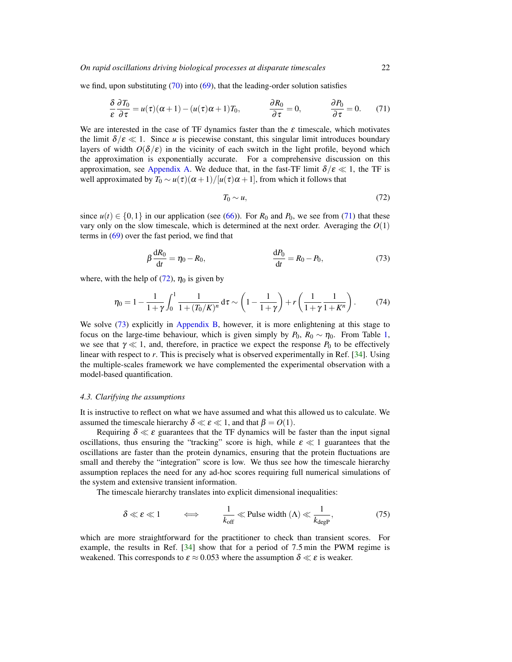### *On rapid oscillations driving biological processes at disparate timescales* 22

we find, upon substituting  $(70)$  into  $(69)$ , that the leading-order solution satisfies

$$
\frac{\delta}{\varepsilon} \frac{\partial T_0}{\partial \tau} = u(\tau)(\alpha + 1) - (u(\tau)\alpha + 1)T_0, \qquad \frac{\partial R_0}{\partial \tau} = 0, \qquad \frac{\partial P_0}{\partial \tau} = 0. \tag{71}
$$

We are interested in the case of TF dynamics faster than the  $\varepsilon$  timescale, which motivates the limit  $\delta/\varepsilon \ll 1$ . Since *u* is piecewise constant, this singular limit introduces boundary layers of width  $O(\delta/\epsilon)$  in the vicinity of each switch in the light profile, beyond which the approximation is exponentially accurate. For a comprehensive discussion on this approximation, see Appendix A. We deduce that, in the fast-TF limit  $\delta/\varepsilon \ll 1$ , the TF is well approximated by  $T_0 \sim u(\tau)(\alpha+1)/[u(\tau)\alpha+1]$ , from which it follows that

$$
T_0 \sim u,\tag{72}
$$

since  $u(t) \in \{0,1\}$  in our application (see (66)). For  $R_0$  and  $P_0$ , we see from (71) that these vary only on the slow timescale, which is determined at the next order. Averaging the  $O(1)$ terms in (69) over the fast period, we find that

$$
\beta \frac{dR_0}{dt} = \eta_0 - R_0, \qquad \frac{dP_0}{dt} = R_0 - P_0,
$$
\n(73)

where, with the help of (72),  $\eta_0$  is given by

$$
\eta_0 = 1 - \frac{1}{1+\gamma} \int_0^1 \frac{1}{1 + (T_0/K)^n} d\tau \sim \left(1 - \frac{1}{1+\gamma}\right) + r \left(\frac{1}{1+\gamma} \frac{1}{1+K^n}\right). \tag{74}
$$

We solve (73) explicitly in Appendix B, however, it is more enlightening at this stage to focus on the large-time behaviour, which is given simply by  $P_0$ ,  $R_0 \sim \eta_0$ . From Table 1, we see that  $\gamma \ll 1$ , and, therefore, in practice we expect the response  $P_0$  to be effectively linear with respect to *r*. This is precisely what is observed experimentally in Ref. [34]. Using the multiple-scales framework we have complemented the experimental observation with a model-based quantification.

#### *4.3. Clarifying the assumptions*

It is instructive to reflect on what we have assumed and what this allowed us to calculate. We assumed the timescale hierarchy  $\delta \ll \varepsilon \ll 1$ , and that  $\beta = O(1)$ .

Requiring  $\delta \ll \varepsilon$  guarantees that the TF dynamics will be faster than the input signal oscillations, thus ensuring the "tracking" score is high, while  $\varepsilon \ll 1$  guarantees that the oscillations are faster than the protein dynamics, ensuring that the protein fluctuations are small and thereby the "integration" score is low. We thus see how the timescale hierarchy assumption replaces the need for any ad-hoc scores requiring full numerical simulations of the system and extensive transient information.

The timescale hierarchy translates into explicit dimensional inequalities:

$$
\delta \ll \varepsilon \ll 1 \qquad \iff \qquad \frac{1}{k_{\text{off}}} \ll \text{Pulse width } (\Lambda) \ll \frac{1}{k_{\text{degP}}}, \tag{75}
$$

which are more straightforward for the practitioner to check than transient scores. For example, the results in Ref. [34] show that for a period of 7.5 min the PWM regime is weakened. This corresponds to  $\varepsilon \approx 0.053$  where the assumption  $\delta \ll \varepsilon$  is weaker.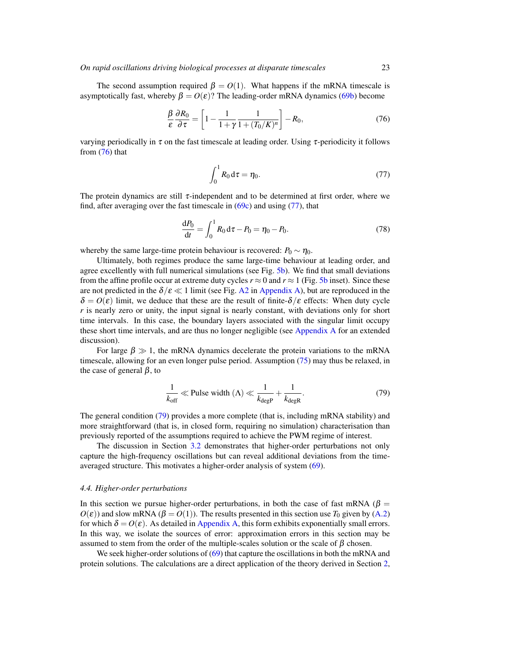#### *On rapid oscillations driving biological processes at disparate timescales* 23

The second assumption required  $\beta = O(1)$ . What happens if the mRNA timescale is asymptotically fast, whereby  $β = O(ε)$ ? The leading-order mRNA dynamics (69b) become

$$
\frac{\beta}{\varepsilon} \frac{\partial R_0}{\partial \tau} = \left[ 1 - \frac{1}{1 + \gamma} \frac{1}{1 + (T_0/K)^n} \right] - R_0,
$$
\n(76)

varying periodically in  $\tau$  on the fast timescale at leading order. Using  $\tau$ -periodicity it follows from (76) that

$$
\int_0^1 R_0 \, \mathrm{d}\tau = \eta_0. \tag{77}
$$

The protein dynamics are still  $\tau$ -independent and to be determined at first order, where we find, after averaging over the fast timescale in  $(69c)$  and using  $(77)$ , that

$$
\frac{dP_0}{dt} = \int_0^1 R_0 d\tau - P_0 = \eta_0 - P_0.
$$
\n(78)

whereby the same large-time protein behaviour is recovered:  $P_0 \sim \eta_0$ .

Ultimately, both regimes produce the same large-time behaviour at leading order, and agree excellently with full numerical simulations (see Fig. 5b). We find that small deviations from the affine profile occur at extreme duty cycles  $r \approx 0$  and  $r \approx 1$  (Fig. 5b inset). Since these are not predicted in the  $\delta/\varepsilon \ll 1$  limit (see Fig. A2 in Appendix A), but are reproduced in the  $\delta = O(\varepsilon)$  limit, we deduce that these are the result of finite- $\delta/\varepsilon$  effects: When duty cycle *r* is nearly zero or unity, the input signal is nearly constant, with deviations only for short time intervals. In this case, the boundary layers associated with the singular limit occupy these short time intervals, and are thus no longer negligible (see Appendix A for an extended discussion).

For large  $\beta \gg 1$ , the mRNA dynamics decelerate the protein variations to the mRNA timescale, allowing for an even longer pulse period. Assumption (75) may thus be relaxed, in the case of general  $\beta$ , to

$$
\frac{1}{k_{\text{off}}} \ll \text{Pulse width } (\Lambda) \ll \frac{1}{k_{\text{degP}}} + \frac{1}{k_{\text{degR}}}.
$$
 (79)

The general condition (79) provides a more complete (that is, including mRNA stability) and more straightforward (that is, in closed form, requiring no simulation) characterisation than previously reported of the assumptions required to achieve the PWM regime of interest.

The discussion in Section 3.2 demonstrates that higher-order perturbations not only capture the high-frequency oscillations but can reveal additional deviations from the timeaveraged structure. This motivates a higher-order analysis of system (69).

#### *4.4. Higher-order perturbations*

In this section we pursue higher-order perturbations, in both the case of fast mRNA ( $\beta$  =  $O(\varepsilon)$ ) and slow mRNA ( $\beta = O(1)$ ). The results presented in this section use  $T_0$  given by (A.2) for which  $\delta = O(\varepsilon)$ . As detailed in Appendix A, this form exhibits exponentially small errors. In this way, we isolate the sources of error: approximation errors in this section may be assumed to stem from the order of the multiple-scales solution or the scale of  $\beta$  chosen.

We seek higher-order solutions of (69) that capture the oscillations in both the mRNA and protein solutions. The calculations are a direct application of the theory derived in Section 2,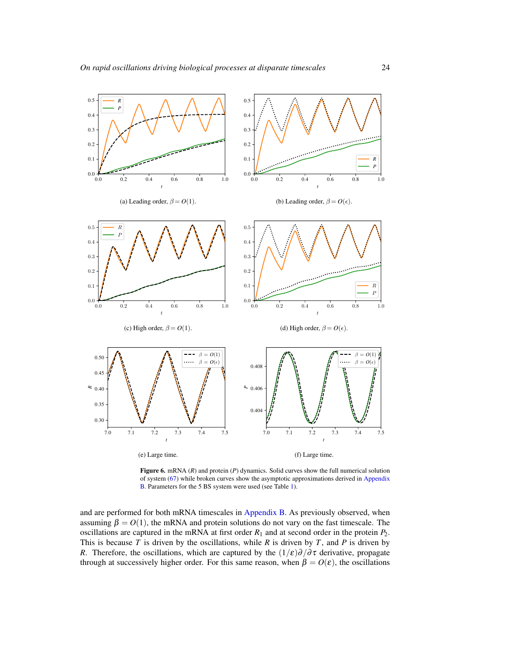

Figure 6. mRNA (*R*) and protein (*P*) dynamics. Solid curves show the full numerical solution of system (67) while broken curves show the asymptotic approximations derived in Appendix B. Parameters for the 5 BS system were used (see Table 1).

and are performed for both mRNA timescales in Appendix B. As previously observed, when assuming  $\beta = O(1)$ , the mRNA and protein solutions do not vary on the fast timescale. The oscillations are captured in the mRNA at first order  $R_1$  and at second order in the protein  $P_2$ . This is because  $T$  is driven by the oscillations, while  $R$  is driven by  $T$ , and  $P$  is driven by *R*. Therefore, the oscillations, which are captured by the  $(1/\varepsilon)\partial/\partial \tau$  derivative, propagate through at successively higher order. For this same reason, when  $β = O(ε)$ , the oscillations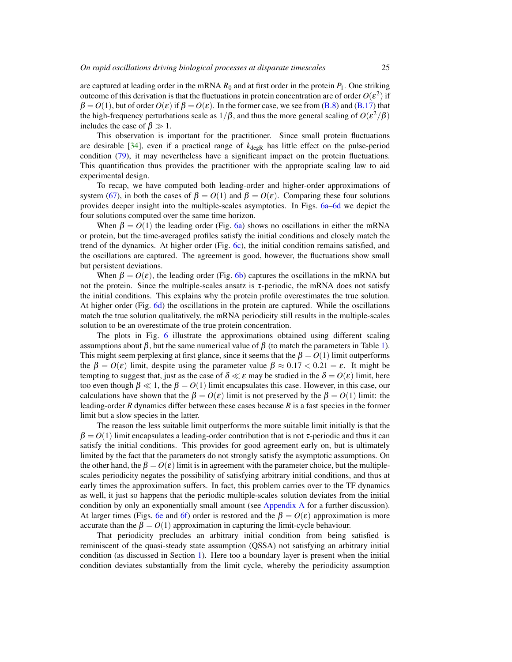are captured at leading order in the mRNA  $R_0$  and at first order in the protein  $P_1$ . One striking outcome of this derivation is that the fluctuations in protein concentration are of order  $O(\varepsilon^2)$  if  $\beta = O(1)$ , but of order  $O(\varepsilon)$  if  $\beta = O(\varepsilon)$ . In the former case, we see from (B.8) and (B.17) that the high-frequency perturbations scale as  $1/\beta$ , and thus the more general scaling of  $O(\varepsilon^2/\beta)$ includes the case of  $\beta \gg 1$ .

This observation is important for the practitioner. Since small protein fluctuations are desirable  $[34]$ , even if a practical range of  $k_{\text{degR}}$  has little effect on the pulse-period condition (79), it may nevertheless have a significant impact on the protein fluctuations. This quantification thus provides the practitioner with the appropriate scaling law to aid experimental design.

To recap, we have computed both leading-order and higher-order approximations of system (67), in both the cases of  $\beta = O(1)$  and  $\beta = O(\varepsilon)$ . Comparing these four solutions provides deeper insight into the multiple-scales asymptotics. In Figs. 6a–6d we depict the four solutions computed over the same time horizon.

When  $\beta = O(1)$  the leading order (Fig. 6a) shows no oscillations in either the mRNA or protein, but the time-averaged profiles satisfy the initial conditions and closely match the trend of the dynamics. At higher order (Fig. 6c), the initial condition remains satisfied, and the oscillations are captured. The agreement is good, however, the fluctuations show small but persistent deviations.

When  $\beta = O(\varepsilon)$ , the leading order (Fig. 6b) captures the oscillations in the mRNA but not the protein. Since the multiple-scales ansatz is  $\tau$ -periodic, the mRNA does not satisfy the initial conditions. This explains why the protein profile overestimates the true solution. At higher order (Fig. 6d) the oscillations in the protein are captured. While the oscillations match the true solution qualitatively, the mRNA periodicity still results in the multiple-scales solution to be an overestimate of the true protein concentration.

The plots in Fig. 6 illustrate the approximations obtained using different scaling assumptions about β, but the same numerical value of  $\beta$  (to match the parameters in Table 1). This might seem perplexing at first glance, since it seems that the  $\beta = O(1)$  limit outperforms the  $\beta = O(\varepsilon)$  limit, despite using the parameter value  $\beta \approx 0.17 < 0.21 = \varepsilon$ . It might be tempting to suggest that, just as the case of  $\delta \ll \varepsilon$  may be studied in the  $\delta = O(\varepsilon)$  limit, here too even though  $\beta \ll 1$ , the  $\beta = O(1)$  limit encapsulates this case. However, in this case, our calculations have shown that the  $\beta = O(\varepsilon)$  limit is not preserved by the  $\beta = O(1)$  limit: the leading-order *R* dynamics differ between these cases because *R* is a fast species in the former limit but a slow species in the latter.

The reason the less suitable limit outperforms the more suitable limit initially is that the  $\beta = O(1)$  limit encapsulates a leading-order contribution that is not  $\tau$ -periodic and thus it can satisfy the initial conditions. This provides for good agreement early on, but is ultimately limited by the fact that the parameters do not strongly satisfy the asymptotic assumptions. On the other hand, the  $\beta = O(\varepsilon)$  limit is in agreement with the parameter choice, but the multiplescales periodicity negates the possibility of satisfying arbitrary initial conditions, and thus at early times the approximation suffers. In fact, this problem carries over to the TF dynamics as well, it just so happens that the periodic multiple-scales solution deviates from the initial condition by only an exponentially small amount (see Appendix A for a further discussion). At larger times (Figs. 6e and 6f) order is restored and the  $\beta = O(\varepsilon)$  approximation is more accurate than the  $\beta = O(1)$  approximation in capturing the limit-cycle behaviour.

That periodicity precludes an arbitrary initial condition from being satisfied is reminiscent of the quasi-steady state assumption (QSSA) not satisfying an arbitrary initial condition (as discussed in Section 1). Here too a boundary layer is present when the initial condition deviates substantially from the limit cycle, whereby the periodicity assumption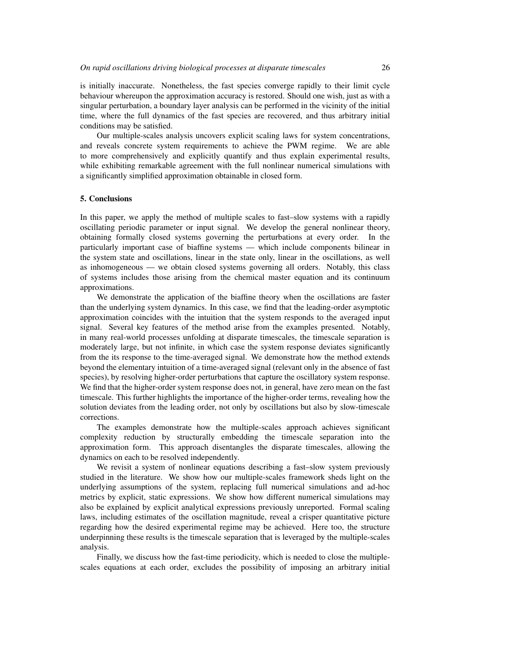is initially inaccurate. Nonetheless, the fast species converge rapidly to their limit cycle behaviour whereupon the approximation accuracy is restored. Should one wish, just as with a singular perturbation, a boundary layer analysis can be performed in the vicinity of the initial time, where the full dynamics of the fast species are recovered, and thus arbitrary initial conditions may be satisfied.

Our multiple-scales analysis uncovers explicit scaling laws for system concentrations, and reveals concrete system requirements to achieve the PWM regime. We are able to more comprehensively and explicitly quantify and thus explain experimental results, while exhibiting remarkable agreement with the full nonlinear numerical simulations with a significantly simplified approximation obtainable in closed form.

#### 5. Conclusions

In this paper, we apply the method of multiple scales to fast–slow systems with a rapidly oscillating periodic parameter or input signal. We develop the general nonlinear theory, obtaining formally closed systems governing the perturbations at every order. In the particularly important case of biaffine systems — which include components bilinear in the system state and oscillations, linear in the state only, linear in the oscillations, as well as inhomogeneous — we obtain closed systems governing all orders. Notably, this class of systems includes those arising from the chemical master equation and its continuum approximations.

We demonstrate the application of the biaffine theory when the oscillations are faster than the underlying system dynamics. In this case, we find that the leading-order asymptotic approximation coincides with the intuition that the system responds to the averaged input signal. Several key features of the method arise from the examples presented. Notably, in many real-world processes unfolding at disparate timescales, the timescale separation is moderately large, but not infinite, in which case the system response deviates significantly from the its response to the time-averaged signal. We demonstrate how the method extends beyond the elementary intuition of a time-averaged signal (relevant only in the absence of fast species), by resolving higher-order perturbations that capture the oscillatory system response. We find that the higher-order system response does not, in general, have zero mean on the fast timescale. This further highlights the importance of the higher-order terms, revealing how the solution deviates from the leading order, not only by oscillations but also by slow-timescale corrections.

The examples demonstrate how the multiple-scales approach achieves significant complexity reduction by structurally embedding the timescale separation into the approximation form. This approach disentangles the disparate timescales, allowing the dynamics on each to be resolved independently.

We revisit a system of nonlinear equations describing a fast–slow system previously studied in the literature. We show how our multiple-scales framework sheds light on the underlying assumptions of the system, replacing full numerical simulations and ad-hoc metrics by explicit, static expressions. We show how different numerical simulations may also be explained by explicit analytical expressions previously unreported. Formal scaling laws, including estimates of the oscillation magnitude, reveal a crisper quantitative picture regarding how the desired experimental regime may be achieved. Here too, the structure underpinning these results is the timescale separation that is leveraged by the multiple-scales analysis.

Finally, we discuss how the fast-time periodicity, which is needed to close the multiplescales equations at each order, excludes the possibility of imposing an arbitrary initial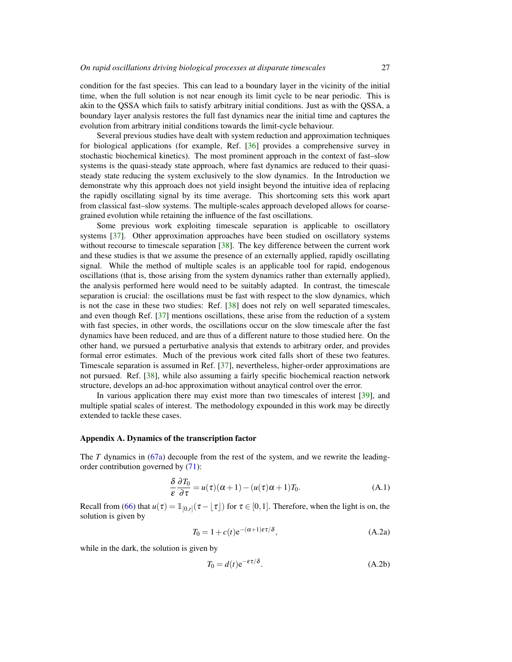condition for the fast species. This can lead to a boundary layer in the vicinity of the initial time, when the full solution is not near enough its limit cycle to be near periodic. This is akin to the QSSA which fails to satisfy arbitrary initial conditions. Just as with the QSSA, a boundary layer analysis restores the full fast dynamics near the initial time and captures the evolution from arbitrary initial conditions towards the limit-cycle behaviour.

Several previous studies have dealt with system reduction and approximation techniques for biological applications (for example, Ref. [36] provides a comprehensive survey in stochastic biochemical kinetics). The most prominent approach in the context of fast–slow systems is the quasi-steady state approach, where fast dynamics are reduced to their quasisteady state reducing the system exclusively to the slow dynamics. In the Introduction we demonstrate why this approach does not yield insight beyond the intuitive idea of replacing the rapidly oscillating signal by its time average. This shortcoming sets this work apart from classical fast–slow systems. The multiple-scales approach developed allows for coarsegrained evolution while retaining the influence of the fast oscillations.

Some previous work exploiting timescale separation is applicable to oscillatory systems [37]. Other approximation approaches have been studied on oscillatory systems without recourse to timescale separation [38]. The key difference between the current work and these studies is that we assume the presence of an externally applied, rapidly oscillating signal. While the method of multiple scales is an applicable tool for rapid, endogenous oscillations (that is, those arising from the system dynamics rather than externally applied), the analysis performed here would need to be suitably adapted. In contrast, the timescale separation is crucial: the oscillations must be fast with respect to the slow dynamics, which is not the case in these two studies: Ref. [38] does not rely on well separated timescales, and even though Ref. [37] mentions oscillations, these arise from the reduction of a system with fast species, in other words, the oscillations occur on the slow timescale after the fast dynamics have been reduced, and are thus of a different nature to those studied here. On the other hand, we pursued a perturbative analysis that extends to arbitrary order, and provides formal error estimates. Much of the previous work cited falls short of these two features. Timescale separation is assumed in Ref. [37], nevertheless, higher-order approximations are not pursued. Ref. [38], while also assuming a fairly specific biochemical reaction network structure, develops an ad-hoc approximation without anaytical control over the error.

In various application there may exist more than two timescales of interest [39], and multiple spatial scales of interest. The methodology expounded in this work may be directly extended to tackle these cases.

### Appendix A. Dynamics of the transcription factor

The *T* dynamics in (67a) decouple from the rest of the system, and we rewrite the leadingorder contribution governed by (71):

$$
\frac{\delta}{\varepsilon} \frac{\partial T_0}{\partial \tau} = u(\tau)(\alpha + 1) - (u(\tau)\alpha + 1)T_0.
$$
 (A.1)

Recall from (66) that  $u(\tau) = \mathbb{1}_{[0,r]}(\tau - \lfloor \tau \rfloor)$  for  $\tau \in [0,1]$ . Therefore, when the light is on, the solution is given by

$$
T_0 = 1 + c(t)e^{-(\alpha + 1)\varepsilon\tau/\delta}, \tag{A.2a}
$$

while in the dark, the solution is given by

$$
T_0 = d(t)e^{-\varepsilon \tau/\delta}.
$$
 (A.2b)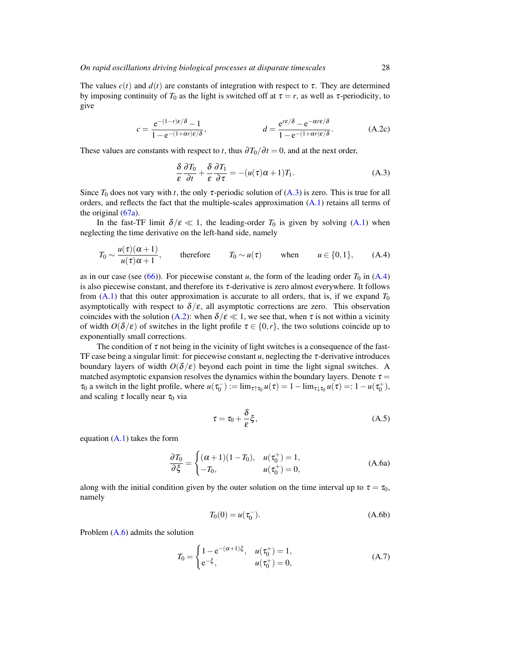The values  $c(t)$  and  $d(t)$  are constants of integration with respect to  $\tau$ . They are determined by imposing continuity of  $T_0$  as the light is switched off at  $\tau = r$ , as well as  $\tau$ -periodicity, to give

$$
c = \frac{e^{-(1-r)\epsilon/\delta} - 1}{1 - e^{-(1+\alpha r)\epsilon/\delta}}, \qquad d = \frac{e^{r\epsilon/\delta} - e^{-\alpha r\epsilon/\delta}}{1 - e^{-(1+\alpha r)\epsilon/\delta}}.
$$
 (A.2c)

These values are constants with respect to *t*, thus  $\frac{\partial T_0}{\partial t} = 0$ , and at the next order,

$$
\frac{\delta}{\varepsilon} \frac{\partial T_0}{\partial t} + \frac{\delta}{\varepsilon} \frac{\partial T_1}{\partial \tau} = -(u(\tau)\alpha + 1)T_1.
$$
 (A.3)

Since  $T_0$  does not vary with *t*, the only  $\tau$ -periodic solution of (A.3) is zero. This is true for all orders, and reflects the fact that the multiple-scales approximation (A.1) retains all terms of the original  $(67a)$ .

In the fast-TF limit  $\delta/\varepsilon \ll 1$ , the leading-order  $T_0$  is given by solving (A.1) when neglecting the time derivative on the left-hand side, namely

$$
T_0 \sim \frac{u(\tau)(\alpha+1)}{u(\tau)\alpha+1}
$$
, therefore  $T_0 \sim u(\tau)$  when  $u \in \{0,1\}$ , (A.4)

as in our case (see (66)). For piecewise constant  $u$ , the form of the leading order  $T_0$  in (A.4) is also piecewise constant, and therefore its  $\tau$ -derivative is zero almost everywhere. It follows from  $(A.1)$  that this outer approximation is accurate to all orders, that is, if we expand  $T_0$ asymptotically with respect to  $\delta/\varepsilon$ , all asymptotic corrections are zero. This observation coincides with the solution (A.2): when  $\delta/\varepsilon \ll 1$ , we see that, when  $\tau$  is not within a vicinity of width  $O(\delta/\varepsilon)$  of switches in the light profile  $\tau \in \{0, r\}$ , the two solutions coincide up to exponentially small corrections.

The condition of  $\tau$  not being in the vicinity of light switches is a consequence of the fast-TF case being a singular limit: for piecewise constant  $u$ , neglecting the  $\tau$ -derivative introduces boundary layers of width  $O(\delta/\epsilon)$  beyond each point in time the light signal switches. A matched asymptotic expansion resolves the dynamics within the boundary layers. Denote  $\tau =$  $\tau_0$  a switch in the light profile, where  $u(\tau_0^-) := \lim_{\tau \uparrow \tau_0} u(\tau) = 1 - \lim_{\tau \downarrow \tau_0} u(\tau) =: 1 - u(\tau_0^+),$ and scaling  $\tau$  locally near  $\tau_0$  via

$$
\tau = \tau_0 + \frac{\delta}{\varepsilon} \xi, \tag{A.5}
$$

equation  $(A.1)$  takes the form

$$
\frac{\partial T_0}{\partial \xi} = \begin{cases}\n(\alpha + 1)(1 - T_0), & u(\tau_0^+) = 1, \\
-T_0, & u(\tau_0^+) = 0,\n\end{cases}
$$
\n(A.6a)

along with the initial condition given by the outer solution on the time interval up to  $\tau = \tau_0$ , namely

$$
T_0(0) = u(\tau_0^-). \tag{A.6b}
$$

Problem (A.6) admits the solution

$$
T_0 = \begin{cases} 1 - e^{-(\alpha + 1)\xi}, & u(\tau_0^+) = 1, \\ e^{-\xi}, & u(\tau_0^+) = 0, \end{cases}
$$
 (A.7)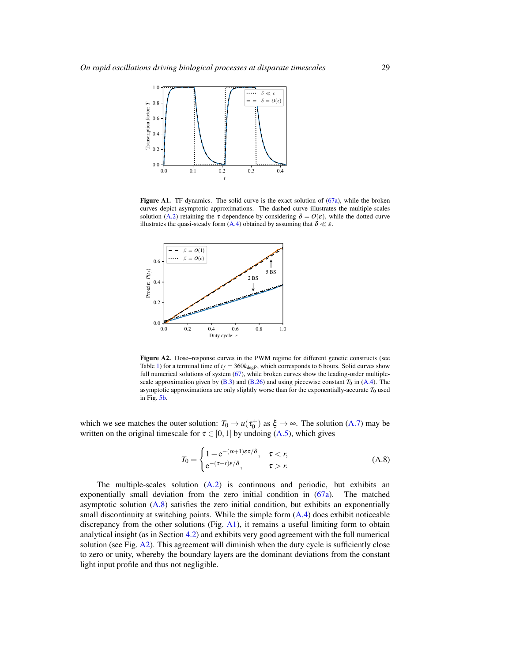

Figure A1. TF dynamics. The solid curve is the exact solution of (67a), while the broken curves depict asymptotic approximations. The dashed curve illustrates the multiple-scales solution (A.2) retaining the  $\tau$ -dependence by considering  $\delta = O(\epsilon)$ , while the dotted curve illustrates the quasi-steady form  $(A.4)$  obtained by assuming that  $\delta \ll \varepsilon$ .



Figure A2. Dose–response curves in the PWM regime for different genetic constructs (see Table 1) for a terminal time of  $t_f = 360k_{\text{deep}}$ , which corresponds to 6 hours. Solid curves show full numerical solutions of system (67), while broken curves show the leading-order multiplescale approximation given by  $(B.3)$  and  $(B.26)$  and using piecewise constant  $T_0$  in  $(A.4)$ . The asymptotic approximations are only slightly worse than for the exponentially-accurate  $T_0$  used in Fig. 5b.

which we see matches the outer solution:  $T_0 \to u(\tau_0^+)$  as  $\xi \to \infty$ . The solution (A.7) may be written on the original timescale for  $\tau \in [0,1]$  by undoing (A.5), which gives

$$
T_0 = \begin{cases} 1 - e^{-(\alpha+1)\varepsilon\tau/\delta}, & \tau < r, \\ e^{-(\tau - r)\varepsilon/\delta}, & \tau > r. \end{cases}
$$
 (A.8)

The multiple-scales solution (A.2) is continuous and periodic, but exhibits an exponentially small deviation from the zero initial condition in (67a). The matched asymptotic solution (A.8) satisfies the zero initial condition, but exhibits an exponentially small discontinuity at switching points. While the simple form  $(A.4)$  does exhibit noticeable discrepancy from the other solutions (Fig. A1), it remains a useful limiting form to obtain analytical insight (as in Section 4.2) and exhibits very good agreement with the full numerical solution (see Fig. A2). This agreement will diminish when the duty cycle is sufficiently close to zero or unity, whereby the boundary layers are the dominant deviations from the constant light input profile and thus not negligible.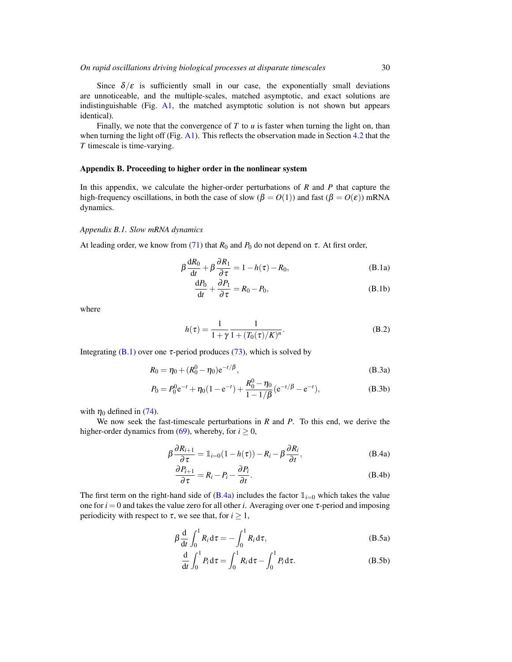Since  $\delta/\varepsilon$  is sufficiently small in our case, the exponentially small deviations are unnoticeable, and the multiple-scales, matched asymptotic, and exact solutions are indistinguishable (Fig. A1, the matched asymptotic solution is not shown but appears identical).

Finally, we note that the convergence of  $T$  to  $u$  is faster when turning the light on, than when turning the light off (Fig. A1). This reflects the observation made in Section 4.2 that the *T* timescale is time-varying.

## Appendix B. Proceeding to higher order in the nonlinear system

In this appendix, we calculate the higher-order perturbations of *R* and *P* that capture the high-frequency oscillations, in both the case of slow ( $\beta = O(1)$ ) and fast ( $\beta = O(\varepsilon)$ ) mRNA dynamics.

#### *Appendix B.1. Slow mRNA dynamics*

At leading order, we know from (71) that  $R_0$  and  $P_0$  do not depend on  $\tau$ . At first order,

$$
\beta \frac{dR_0}{dt} + \beta \frac{\partial R_1}{\partial \tau} = 1 - h(\tau) - R_0,
$$
\n(B.1a)

$$
\frac{\mathrm{d}P_0}{\mathrm{d}t} + \frac{\partial P_1}{\partial \tau} = R_0 - P_0,\tag{B.1b}
$$

where

$$
h(\tau) = \frac{1}{1 + \gamma} \frac{1}{1 + (T_0(\tau)/K)^n}.
$$
 (B.2)

Integrating (B.1) over one  $\tau$ -period produces (73), which is solved by

$$
R_0 = \eta_0 + (R_0^0 - \eta_0) e^{-t/\beta}, \tag{B.3a}
$$

$$
P_0 = P_0^0 e^{-t} + \eta_0 (1 - e^{-t}) + \frac{R_0^0 - \eta_0}{1 - 1/\beta} (e^{-t/\beta} - e^{-t}),
$$
 (B.3b)

with  $\eta_0$  defined in (74).

We now seek the fast-timescale perturbations in *R* and *P*. To this end, we derive the higher-order dynamics from (69), whereby, for  $i \ge 0$ ,

$$
\beta \frac{\partial R_{i+1}}{\partial \tau} = \mathbb{1}_{i=0} (1 - h(\tau)) - R_i - \beta \frac{\partial R_i}{\partial t},
$$
 (B.4a)

$$
\frac{\partial P_{i+1}}{\partial \tau} = R_i - P_i - \frac{\partial P_i}{\partial t}.
$$
 (B.4b)

The first term on the right-hand side of  $(B.4a)$  includes the factor  $\mathbb{1}_{i=0}$  which takes the value one for  $i = 0$  and takes the value zero for all other *i*. Averaging over one  $\tau$ -period and imposing periodicity with respect to  $\tau$ , we see that, for  $i \geq 1$ ,

$$
\beta \frac{\mathrm{d}}{\mathrm{d}t} \int_0^1 R_i \mathrm{d}\tau = - \int_0^1 R_i \mathrm{d}\tau, \tag{B.5a}
$$

$$
\frac{\mathrm{d}}{\mathrm{d}t} \int_0^1 P_i \, \mathrm{d}\tau = \int_0^1 R_i \, \mathrm{d}\tau - \int_0^1 P_i \, \mathrm{d}\tau. \tag{B.5b}
$$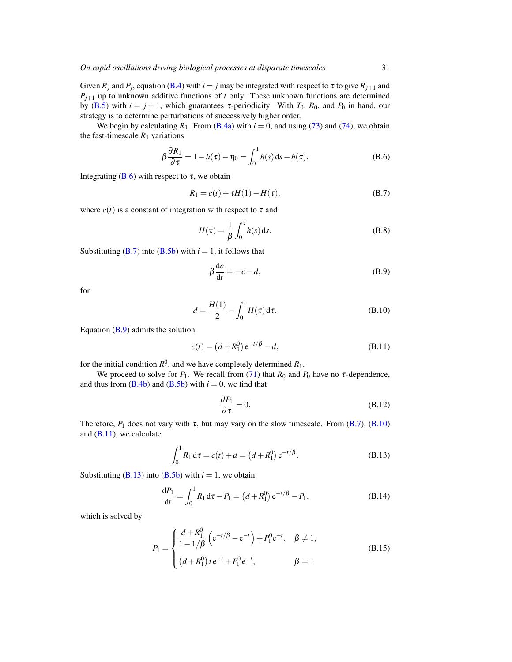Given  $R_j$  and  $P_j$ , equation (B.4) with  $i = j$  may be integrated with respect to  $\tau$  to give  $R_{j+1}$  and  $P_{j+1}$  up to unknown additive functions of *t* only. These unknown functions are determined by (B.5) with  $i = j + 1$ , which guarantees  $\tau$ -periodicity. With  $T_0$ ,  $R_0$ , and  $P_0$  in hand, our strategy is to determine perturbations of successively higher order.

We begin by calculating  $R_1$ . From (B.4a) with  $i = 0$ , and using (73) and (74), we obtain the fast-timescale  $R_1$  variations

$$
\beta \frac{\partial R_1}{\partial \tau} = 1 - h(\tau) - \eta_0 = \int_0^1 h(s) \, ds - h(\tau). \tag{B.6}
$$

Integrating  $(B.6)$  with respect to  $\tau$ , we obtain

$$
R_1 = c(t) + \tau H(1) - H(\tau), \tag{B.7}
$$

where  $c(t)$  is a constant of integration with respect to  $\tau$  and

$$
H(\tau) = \frac{1}{\beta} \int_0^{\tau} h(s) \, \mathrm{d}s. \tag{B.8}
$$

Substituting  $(B.7)$  into  $(B.5b)$  with  $i = 1$ , it follows that

$$
\beta \frac{\mathrm{d}c}{\mathrm{d}t} = -c - d,\tag{B.9}
$$

for

$$
d = \frac{H(1)}{2} - \int_0^1 H(\tau) d\tau.
$$
 (B.10)

Equation  $(B.9)$  admits the solution

$$
c(t) = (d + R_1^0) e^{-t/\beta} - d,
$$
 (B.11)

for the initial condition  $R_1^0$ , and we have completely determined  $R_1$ .

We proceed to solve for  $P_1$ . We recall from (71) that  $R_0$  and  $P_0$  have no  $\tau$ -dependence, and thus from  $(B.4b)$  and  $(B.5b)$  with  $i = 0$ , we find that

$$
\frac{\partial P_1}{\partial \tau} = 0. \tag{B.12}
$$

Therefore,  $P_1$  does not vary with  $\tau$ , but may vary on the slow timescale. From (B.7), (B.10) and  $(B.11)$ , we calculate

$$
\int_0^1 R_1 d\tau = c(t) + d = (d + R_1^0) e^{-t/\beta}.
$$
 (B.13)

Substituting  $(B.13)$  into  $(B.5b)$  with  $i = 1$ , we obtain

$$
\frac{dP_1}{dt} = \int_0^1 R_1 d\tau - P_1 = (d + R_1^0) e^{-t/\beta} - P_1,
$$
\n(B.14)

which is solved by

$$
P_1 = \begin{cases} \frac{d + R_1^0}{1 - 1/\beta} \left( e^{-t/\beta} - e^{-t} \right) + P_1^0 e^{-t}, & \beta \neq 1, \\ (d + R_1^0) t e^{-t} + P_1^0 e^{-t}, & \beta = 1 \end{cases}
$$
(B.15)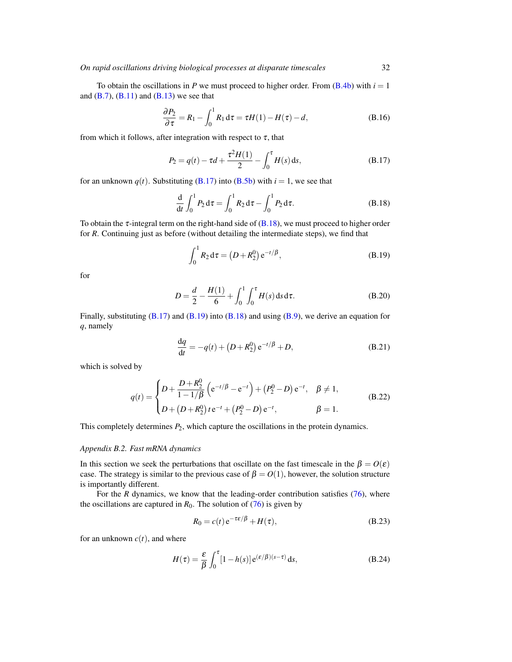To obtain the oscillations in *P* we must proceed to higher order. From  $(B.4b)$  with  $i = 1$ and  $(B.7)$ ,  $(B.11)$  and  $(B.13)$  we see that

$$
\frac{\partial P_2}{\partial \tau} = R_1 - \int_0^1 R_1 d\tau = \tau H(1) - H(\tau) - d,\tag{B.16}
$$

from which it follows, after integration with respect to  $\tau$ , that

$$
P_2 = q(t) - \tau d + \frac{\tau^2 H(1)}{2} - \int_0^{\tau} H(s) \, \mathrm{d}s,\tag{B.17}
$$

for an unknown  $q(t)$ . Substituting (B.17) into (B.5b) with  $i = 1$ , we see that

$$
\frac{d}{dt} \int_0^1 P_2 d\tau = \int_0^1 R_2 d\tau - \int_0^1 P_2 d\tau.
$$
 (B.18)

To obtain the  $\tau$ -integral term on the right-hand side of (B.18), we must proceed to higher order for *R*. Continuing just as before (without detailing the intermediate steps), we find that

$$
\int_0^1 R_2 \, \mathrm{d}\tau = \left( D + R_2^0 \right) e^{-t/\beta},\tag{B.19}
$$

for

$$
D = \frac{d}{2} - \frac{H(1)}{6} + \int_0^1 \int_0^{\tau} H(s) \, \mathrm{d}s \, \mathrm{d}\tau. \tag{B.20}
$$

Finally, substituting  $(B.17)$  and  $(B.19)$  into  $(B.18)$  and using  $(B.9)$ , we derive an equation for *q*, namely

$$
\frac{dq}{dt} = -q(t) + (D + R_2^0) e^{-t/\beta} + D,
$$
\n(B.21)

which is solved by

$$
q(t) = \begin{cases} D + \frac{D + R_2^0}{1 - 1/\beta} \left( e^{-t/\beta} - e^{-t} \right) + (P_2^0 - D) e^{-t}, & \beta \neq 1, \\ D + (D + R_2^0) t e^{-t} + (P_2^0 - D) e^{-t}, & \beta = 1. \end{cases}
$$
(B.22)

This completely determines *P*2, which capture the oscillations in the protein dynamics.

#### *Appendix B.2. Fast mRNA dynamics*

In this section we seek the perturbations that oscillate on the fast timescale in the  $\beta = O(\varepsilon)$ case. The strategy is similar to the previous case of  $\beta = O(1)$ , however, the solution structure is importantly different.

For the *R* dynamics, we know that the leading-order contribution satisfies (76), where the oscillations are captured in  $R_0$ . The solution of (76) is given by

$$
R_0 = c(t) e^{-\tau \varepsilon/\beta} + H(\tau),
$$
\n(B.23)

for an unknown  $c(t)$ , and where

$$
H(\tau) = \frac{\varepsilon}{\beta} \int_0^{\tau} [1 - h(s)] e^{(\varepsilon/\beta)(s-\tau)} ds,
$$
 (B.24)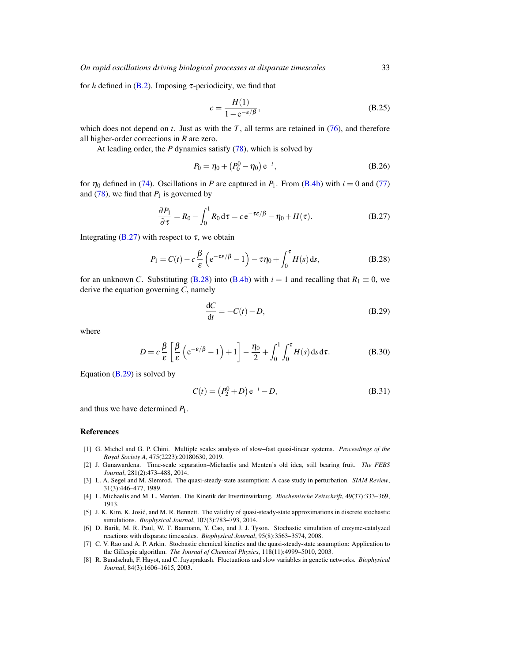for *h* defined in  $(B.2)$ . Imposing  $\tau$ -periodicity, we find that

$$
c = \frac{H(1)}{1 - e^{-\varepsilon/\beta}},\tag{B.25}
$$

which does not depend on  $t$ . Just as with the  $T$ , all terms are retained in  $(76)$ , and therefore all higher-order corrections in *R* are zero.

At leading order, the *P* dynamics satisfy (78), which is solved by

$$
P_0 = \eta_0 + (P_0^0 - \eta_0) e^{-t}, \tag{B.26}
$$

for  $\eta_0$  defined in (74). Oscillations in *P* are captured in *P*<sub>1</sub>. From (B.4b) with  $i = 0$  and (77) and  $(78)$ , we find that  $P_1$  is governed by

$$
\frac{\partial P_1}{\partial \tau} = R_0 - \int_0^1 R_0 \, \mathrm{d}\tau = c \, \mathrm{e}^{-\tau \varepsilon/\beta} - \eta_0 + H(\tau). \tag{B.27}
$$

Integrating (B.27) with respect to  $\tau$ , we obtain

$$
P_1 = C(t) - c\frac{\beta}{\varepsilon} \left( e^{-\tau \varepsilon/\beta} - 1 \right) - \tau \eta_0 + \int_0^{\tau} H(s) \, \mathrm{d}s,\tag{B.28}
$$

for an unknown *C*. Substituting (B.28) into (B.4b) with  $i = 1$  and recalling that  $R_1 \equiv 0$ , we derive the equation governing *C*, namely

$$
\frac{dC}{dt} = -C(t) - D,\tag{B.29}
$$

where

$$
D = c \frac{\beta}{\varepsilon} \left[ \frac{\beta}{\varepsilon} \left( e^{-\varepsilon/\beta} - 1 \right) + 1 \right] - \frac{\eta_0}{2} + \int_0^1 \int_0^\tau H(s) \, \mathrm{d}s \, \mathrm{d}\tau. \tag{B.30}
$$

Equation (B.29) is solved by

$$
C(t) = (P_2^0 + D) e^{-t} - D,
$$
 (B.31)

and thus we have determined *P*1.

## References

- [1] G. Michel and G. P. Chini. Multiple scales analysis of slow–fast quasi-linear systems. *Proceedings of the Royal Society A*, 475(2223):20180630, 2019.
- [2] J. Gunawardena. Time-scale separation–Michaelis and Menten's old idea, still bearing fruit. *The FEBS Journal*, 281(2):473–488, 2014.
- [3] L. A. Segel and M. Slemrod. The quasi-steady-state assumption: A case study in perturbation. *SIAM Review*, 31(3):446–477, 1989.
- [4] L. Michaelis and M. L. Menten. Die Kinetik der Invertinwirkung. *Biochemische Zeitschrift*, 49(37):333–369, 1913.
- [5] J. K. Kim, K. Josic, and M. R. Bennett. The validity of quasi-steady-state approximations in discrete stochastic ´ simulations. *Biophysical Journal*, 107(3):783–793, 2014.
- [6] D. Barik, M. R. Paul, W. T. Baumann, Y. Cao, and J. J. Tyson. Stochastic simulation of enzyme-catalyzed reactions with disparate timescales. *Biophysical Journal*, 95(8):3563–3574, 2008.
- [7] C. V. Rao and A. P. Arkin. Stochastic chemical kinetics and the quasi-steady-state assumption: Application to the Gillespie algorithm. *The Journal of Chemical Physics*, 118(11):4999–5010, 2003.
- [8] R. Bundschuh, F. Hayot, and C. Jayaprakash. Fluctuations and slow variables in genetic networks. *Biophysical Journal*, 84(3):1606–1615, 2003.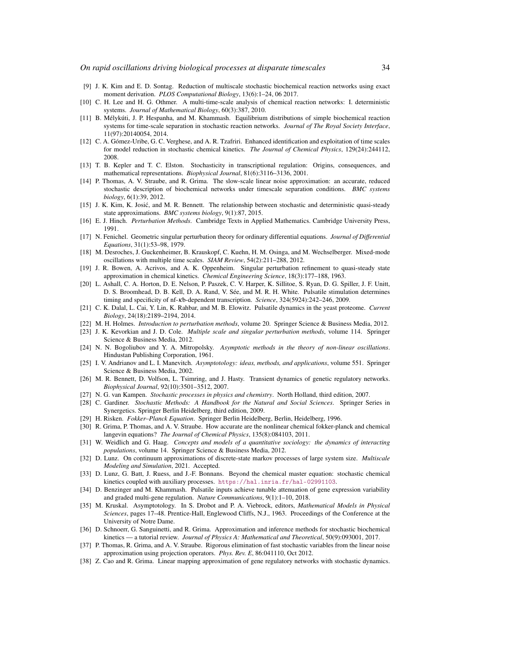- [9] J. K. Kim and E. D. Sontag. Reduction of multiscale stochastic biochemical reaction networks using exact moment derivation. *PLOS Computational Biology*, 13(6):1–24, 06 2017.
- [10] C. H. Lee and H. G. Othmer. A multi-time-scale analysis of chemical reaction networks: I. deterministic systems. *Journal of Mathematical Biology*, 60(3):387, 2010.
- [11] B. Mélykúti, J. P. Hespanha, and M. Khammash. Equilibrium distributions of simple biochemical reaction systems for time-scale separation in stochastic reaction networks. *Journal of The Royal Society Interface*, 11(97):20140054, 2014.
- [12] C. A. Gómez-Uribe, G. C. Verghese, and A. R. Tzafriri. Enhanced identification and exploitation of time scales for model reduction in stochastic chemical kinetics. *The Journal of Chemical Physics*, 129(24):244112, 2008.
- [13] T. B. Kepler and T. C. Elston. Stochasticity in transcriptional regulation: Origins, consequences, and mathematical representations. *Biophysical Journal*, 81(6):3116–3136, 2001.
- [14] P. Thomas, A. V. Straube, and R. Grima. The slow-scale linear noise approximation: an accurate, reduced stochastic description of biochemical networks under timescale separation conditions. *BMC systems biology*, 6(1):39, 2012.
- [15] J. K. Kim, K. Josic, and M. R. Bennett. The relationship between stochastic and deterministic quasi-steady ´ state approximations. *BMC systems biology*, 9(1):87, 2015.
- [16] E. J. Hinch. *Perturbation Methods*. Cambridge Texts in Applied Mathematics. Cambridge University Press, 1991.
- [17] N. Fenichel. Geometric singular perturbation theory for ordinary differential equations. *Journal of Differential Equations*, 31(1):53–98, 1979.
- [18] M. Desroches, J. Guckenheimer, B. Krauskopf, C. Kuehn, H. M. Osinga, and M. Wechselberger. Mixed-mode oscillations with multiple time scales. *SIAM Review*, 54(2):211–288, 2012.
- [19] J. R. Bowen, A. Acrivos, and A. K. Oppenheim. Singular perturbation refinement to quasi-steady state approximation in chemical kinetics. *Chemical Engineering Science*, 18(3):177–188, 1963.
- [20] L. Ashall, C. A. Horton, D. E. Nelson, P. Paszek, C. V. Harper, K. Sillitoe, S. Ryan, D. G. Spiller, J. F. Unitt, D. S. Broomhead, D. B. Kell, D. A. Rand, V. Sée, and M. R. H. White. Pulsatile stimulation determines timing and specificity of nf-κb-dependent transcription. *Science*, 324(5924):242–246, 2009.
- [21] C. K. Dalal, L. Cai, Y. Lin, K. Rahbar, and M. B. Elowitz. Pulsatile dynamics in the yeast proteome. *Current Biology*, 24(18):2189–2194, 2014.
- [22] M. H. Holmes. *Introduction to perturbation methods*, volume 20. Springer Science & Business Media, 2012.
- [23] J. K. Kevorkian and J. D. Cole. *Multiple scale and singular perturbation methods*, volume 114. Springer Science & Business Media, 2012.
- [24] N. N. Bogoliubov and Y. A. Mitropolsky. *Asymptotic methods in the theory of non-linear oscillations*. Hindustan Publishing Corporation, 1961.
- [25] I. V. Andrianov and L. I. Manevitch. *Asymptotology: ideas, methods, and applications*, volume 551. Springer Science & Business Media, 2002.
- [26] M. R. Bennett, D. Volfson, L. Tsimring, and J. Hasty. Transient dynamics of genetic regulatory networks. *Biophysical Journal*, 92(10):3501–3512, 2007.
- [27] N. G. van Kampen. *Stochastic processes in physics and chemistry*. North Holland, third edition, 2007.
- [28] C. Gardiner. *Stochastic Methods: A Handbook for the Natural and Social Sciences*. Springer Series in Synergetics. Springer Berlin Heidelberg, third edition, 2009.
- [29] H. Risken. *Fokker–Planck Equation*. Springer Berlin Heidelberg, Berlin, Heidelberg, 1996.
- [30] R. Grima, P. Thomas, and A. V. Straube. How accurate are the nonlinear chemical fokker-planck and chemical langevin equations? *The Journal of Chemical Physics*, 135(8):084103, 2011.
- [31] W. Weidlich and G. Haag. *Concepts and models of a quantitative sociology: the dynamics of interacting populations*, volume 14. Springer Science & Business Media, 2012.
- [32] D. Lunz. On continuum approximations of discrete-state markov processes of large system size. *Multiscale Modeling and Simulation*, 2021. Accepted.
- [33] D. Lunz, G. Batt, J. Ruess, and J.-F. Bonnans. Beyond the chemical master equation: stochastic chemical kinetics coupled with auxiliary processes. <https://hal.inria.fr/hal-02991103>.
- [34] D. Benzinger and M. Khammash. Pulsatile inputs achieve tunable attenuation of gene expression variability and graded multi-gene regulation. *Nature Communications*, 9(1):1–10, 2018.
- [35] M. Kruskal. Asymptotology. In S. Drobot and P. A. Viebrock, editors, *Mathematical Models in Physical Sciences*, pages 17–48. Prentice-Hall, Englewood Cliffs, N.J., 1963. Proceedings of the Conference at the University of Notre Dame.
- [36] D. Schnoerr, G. Sanguinetti, and R. Grima. Approximation and inference methods for stochastic biochemical kinetics — a tutorial review. *Journal of Physics A: Mathematical and Theoretical*, 50(9):093001, 2017.
- [37] P. Thomas, R. Grima, and A. V. Straube. Rigorous elimination of fast stochastic variables from the linear noise approximation using projection operators. *Phys. Rev. E*, 86:041110, Oct 2012.
- [38] Z. Cao and R. Grima. Linear mapping approximation of gene regulatory networks with stochastic dynamics.